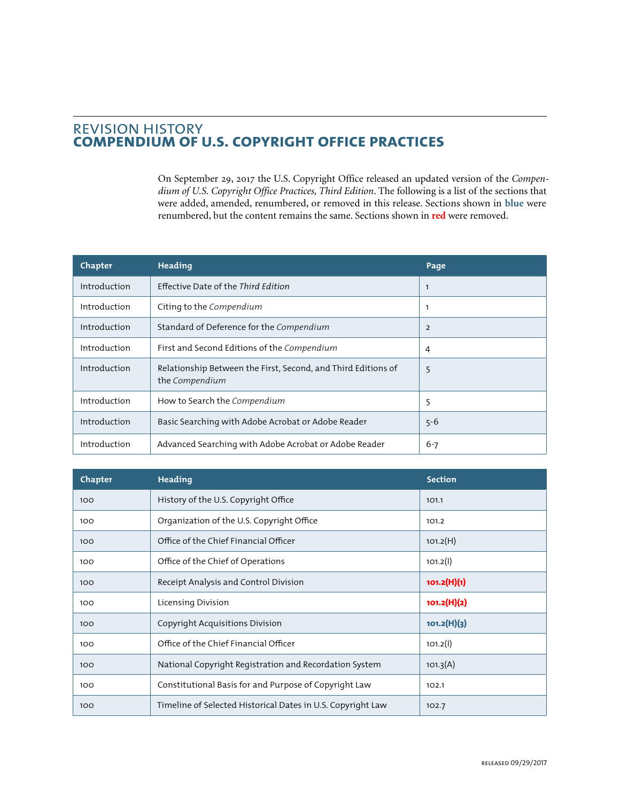## REVISION HISTORY **COMPENDIUM OF U.S. COPYRIGHT OFFICE PRACTICES**

On September 29, 2017 the U.S. Copyright Office released an updated version of the *Compendium of U.S. Copyright Office Practices, Third Edition*. The following is a list of the sections that were added, amended, renumbered, or removed in this release. Sections shown in **blue** were renumbered, but the content remains the same. Sections shown in **red** were removed.

| Chapter      | Heading                                                                         | Page         |
|--------------|---------------------------------------------------------------------------------|--------------|
| Introduction | Effective Date of the Third Edition                                             | $\mathbf{1}$ |
| Introduction | Citing to the Compendium                                                        | $\mathbf{1}$ |
| Introduction | Standard of Deference for the Compendium                                        | 2            |
| Introduction | First and Second Editions of the Compendium                                     | 4            |
| Introduction | Relationship Between the First, Second, and Third Editions of<br>the Compendium | 5            |
| Introduction | How to Search the Compendium                                                    | 5            |
| Introduction | Basic Searching with Adobe Acrobat or Adobe Reader                              | $5 - 6$      |
| Introduction | Advanced Searching with Adobe Acrobat or Adobe Reader                           | $6 - 7$      |

| Chapter | <b>Heading</b>                                              | <b>Section</b> |
|---------|-------------------------------------------------------------|----------------|
| 100     | History of the U.S. Copyright Office                        | 101.1          |
| 100     | Organization of the U.S. Copyright Office                   | 101.2          |
| 100     | Office of the Chief Financial Officer                       | 101.2(H)       |
| 100     | Office of the Chief of Operations                           | 101.2(1)       |
| 100     | Receipt Analysis and Control Division                       | 101.2(H)(1)    |
| 100     | Licensing Division                                          | 101.2(H)(2)    |
| 100     | Copyright Acquisitions Division                             | 101.2(H)(3)    |
| 100     | Office of the Chief Financial Officer                       | 101.2(1)       |
| 100     | National Copyright Registration and Recordation System      | 101.3(A)       |
| 100     | Constitutional Basis for and Purpose of Copyright Law       | 102.1          |
| 100     | Timeline of Selected Historical Dates in U.S. Copyright Law | 102.7          |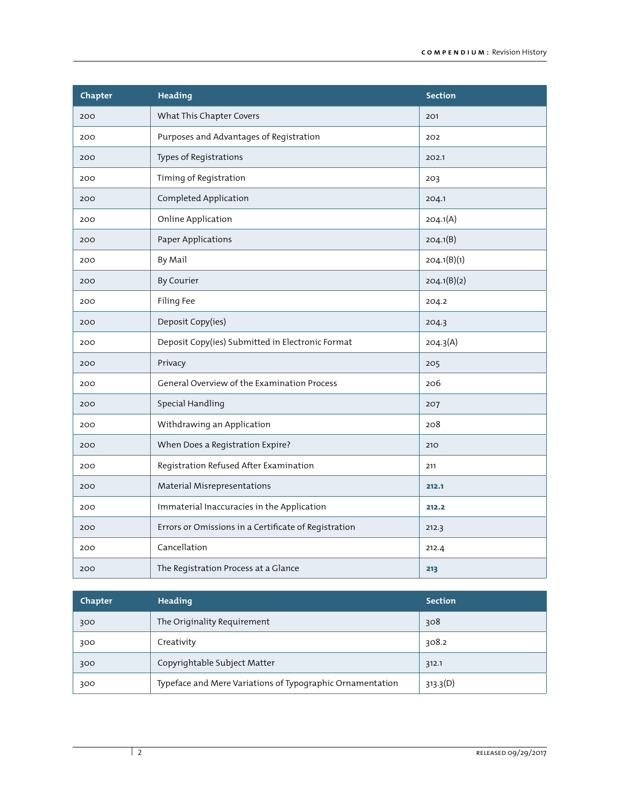| Chapter | <b>Heading</b>                                       | <b>Section</b> |
|---------|------------------------------------------------------|----------------|
| 200     | What This Chapter Covers                             | 201            |
| 200     | Purposes and Advantages of Registration              | 202            |
| 200     | Types of Registrations                               | 202.1          |
| 200     | Timing of Registration                               | 203            |
| 200     | Completed Application                                | 204.1          |
| 200     | Online Application                                   | 204.1(A)       |
| 200     | Paper Applications                                   | 204.1(B)       |
| 200     | By Mail                                              | 204.1(B)(1)    |
| 200     | By Courier                                           | 204.1(B)(2)    |
| 200     | Filing Fee                                           | 204.2          |
| 200     | Deposit Copy(ies)                                    | 204.3          |
| 200     | Deposit Copy(ies) Submitted in Electronic Format     | 204.3(A)       |
| 200     | Privacy                                              | 205            |
| 200     | General Overview of the Examination Process          | 206            |
| 200     | Special Handling                                     | 207            |
| 200     | Withdrawing an Application                           | 208            |
| 200     | When Does a Registration Expire?                     | 210            |
| 200     | Registration Refused After Examination               | 211            |
| 200     | Material Misrepresentations                          | 212.1          |
| 200     | Immaterial Inaccuracies in the Application           | 212.2          |
| 200     | Errors or Omissions in a Certificate of Registration | 212.3          |
| 200     | Cancellation                                         | 212.4          |
| 200     | The Registration Process at a Glance                 | 213            |

| Chapter | Heading                                                   | <b>Section</b> |
|---------|-----------------------------------------------------------|----------------|
| 300     | The Originality Requirement                               | 308            |
| 300     | Creativity                                                | 308.2          |
| 300     | Copyrightable Subject Matter                              | 312.1          |
| 300     | Typeface and Mere Variations of Typographic Ornamentation | 313.3(D)       |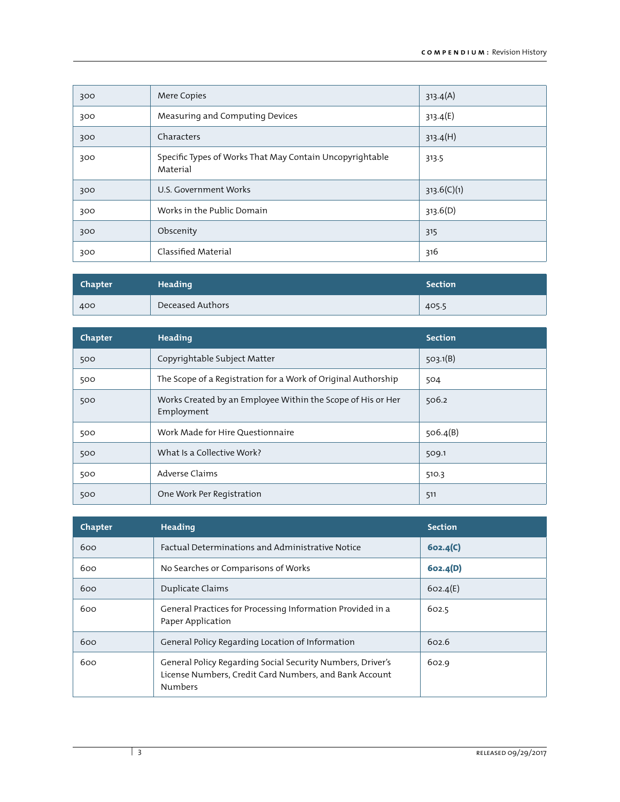| 300 | Mere Copies                                                          | 313.4(A)    |
|-----|----------------------------------------------------------------------|-------------|
| 300 | Measuring and Computing Devices                                      | 313.4(E)    |
| 300 | Characters                                                           | 313.4(H)    |
| 300 | Specific Types of Works That May Contain Uncopyrightable<br>Material | 313.5       |
| 300 | U.S. Government Works                                                | 313.6(C)(1) |
| 300 | Works in the Public Domain                                           | 313.6(D)    |
| 300 | Obscenity                                                            | 315         |
| 300 | Classified Material                                                  | 316         |

| Chapter | Heading          | <b>Section</b> |
|---------|------------------|----------------|
| 400     | Deceased Authors | 405.5          |

| Chapter | Heading                                                                   | <b>Section</b> |
|---------|---------------------------------------------------------------------------|----------------|
| 500     | Copyrightable Subject Matter                                              | 503.1(B)       |
| 500     | The Scope of a Registration for a Work of Original Authorship             | 504            |
| 500     | Works Created by an Employee Within the Scope of His or Her<br>Employment | 506.2          |
| 500     | Work Made for Hire Questionnaire                                          | 506.4(B)       |
| 500     | What Is a Collective Work?                                                | 509.1          |
| 500     | Adverse Claims                                                            | 510.3          |
| 500     | One Work Per Registration                                                 | 511            |

| Chapter | Heading                                                                                                                                | <b>Section</b> |
|---------|----------------------------------------------------------------------------------------------------------------------------------------|----------------|
| 600     | Factual Determinations and Administrative Notice                                                                                       | 602.4(C)       |
| 600     | No Searches or Comparisons of Works                                                                                                    | 602.4(D)       |
| 600     | Duplicate Claims                                                                                                                       | 602.4(E)       |
| 600     | General Practices for Processing Information Provided in a<br>Paper Application                                                        | 602.5          |
| 600     | General Policy Regarding Location of Information                                                                                       | 602.6          |
| 600     | General Policy Regarding Social Security Numbers, Driver's<br>License Numbers, Credit Card Numbers, and Bank Account<br><b>Numbers</b> | 602.9          |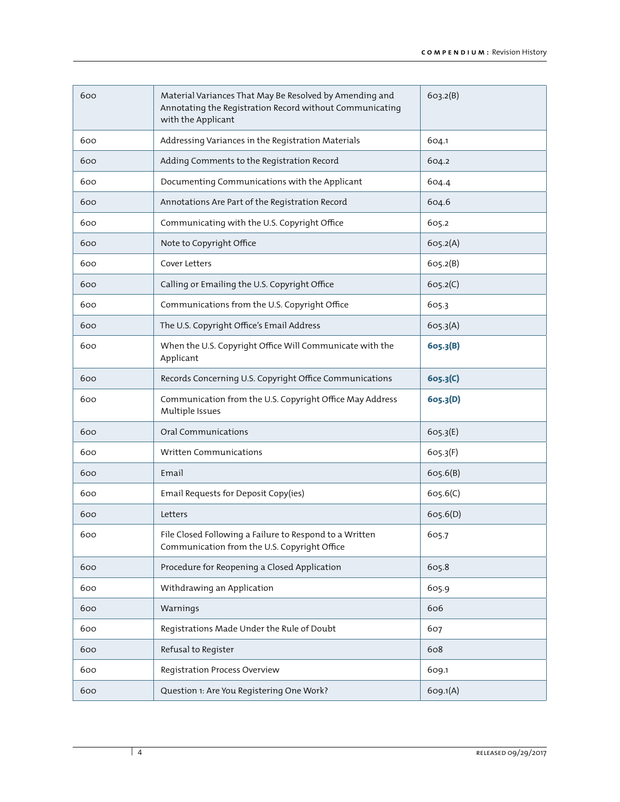| 600 | Material Variances That May Be Resolved by Amending and<br>Annotating the Registration Record without Communicating<br>with the Applicant | 603.2(B) |
|-----|-------------------------------------------------------------------------------------------------------------------------------------------|----------|
| 600 | Addressing Variances in the Registration Materials                                                                                        | 604.1    |
| 600 | Adding Comments to the Registration Record                                                                                                | 604.2    |
| 600 | Documenting Communications with the Applicant                                                                                             | 604.4    |
| 600 | Annotations Are Part of the Registration Record                                                                                           | 604.6    |
| 600 | Communicating with the U.S. Copyright Office                                                                                              | 605.2    |
| 600 | Note to Copyright Office                                                                                                                  | 605.2(A) |
| 600 | Cover Letters                                                                                                                             | 605.2(B) |
| 600 | Calling or Emailing the U.S. Copyright Office                                                                                             | 605.2(C) |
| 600 | Communications from the U.S. Copyright Office                                                                                             | 605.3    |
| 600 | The U.S. Copyright Office's Email Address                                                                                                 | 605.3(A) |
| 600 | When the U.S. Copyright Office Will Communicate with the<br>Applicant                                                                     | 605.3(B) |
| 600 | Records Concerning U.S. Copyright Office Communications                                                                                   | 605.3(C) |
| 600 | Communication from the U.S. Copyright Office May Address<br>Multiple Issues                                                               | 605.3(D) |
| 600 | Oral Communications                                                                                                                       | 605.3(E) |
| 600 | Written Communications                                                                                                                    | 605.3(F) |
| 600 | Email                                                                                                                                     | 605.6(B) |
| 600 | Email Requests for Deposit Copy(ies)                                                                                                      | 605.6(C) |
| 600 | Letters                                                                                                                                   | 605.6(D) |
| 600 | File Closed Following a Failure to Respond to a Written<br>Communication from the U.S. Copyright Office                                   | 605.7    |
| 600 | Procedure for Reopening a Closed Application                                                                                              | 605.8    |
| 600 | Withdrawing an Application                                                                                                                | 605.9    |
| 600 | Warnings                                                                                                                                  | 606      |
| 600 | Registrations Made Under the Rule of Doubt                                                                                                | 607      |
| 600 | Refusal to Register                                                                                                                       | 608      |
| 600 | Registration Process Overview                                                                                                             | 609.1    |
| 600 | Question 1: Are You Registering One Work?                                                                                                 | 609.1(A) |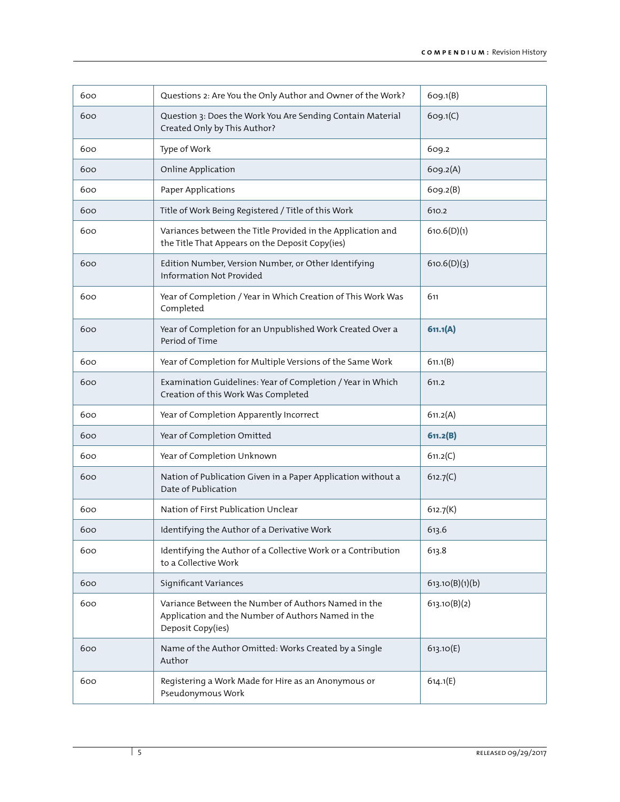| 600 | Questions 2: Are You the Only Author and Owner of the Work?                                                                    | 609.1(B)        |
|-----|--------------------------------------------------------------------------------------------------------------------------------|-----------------|
| 600 | Question 3: Does the Work You Are Sending Contain Material<br>Created Only by This Author?                                     | 609.1(C)        |
| 600 | Type of Work                                                                                                                   | 609.2           |
| 600 | Online Application                                                                                                             | 609.2(A)        |
| 600 | Paper Applications                                                                                                             | 609.2(B)        |
| 600 | Title of Work Being Registered / Title of this Work                                                                            | 610.2           |
| 600 | Variances between the Title Provided in the Application and<br>the Title That Appears on the Deposit Copy(ies)                 | 610.6(D)(1)     |
| 600 | Edition Number, Version Number, or Other Identifying<br>Information Not Provided                                               | 610.6(D)(3)     |
| 600 | Year of Completion / Year in Which Creation of This Work Was<br>Completed                                                      | 611             |
| 600 | Year of Completion for an Unpublished Work Created Over a<br>Period of Time                                                    | 611.1(A)        |
| 600 | Year of Completion for Multiple Versions of the Same Work                                                                      | 611.1(B)        |
| 600 | Examination Guidelines: Year of Completion / Year in Which<br>Creation of this Work Was Completed                              | 611.2           |
| 600 | Year of Completion Apparently Incorrect                                                                                        | 611.2(A)        |
| 600 | Year of Completion Omitted                                                                                                     | 611.2(B)        |
| 600 | Year of Completion Unknown                                                                                                     | 611.2(C)        |
| 600 | Nation of Publication Given in a Paper Application without a<br>Date of Publication                                            | 612.7(C)        |
| 600 | Nation of First Publication Unclear                                                                                            | 612.7(K)        |
| 600 | Identifying the Author of a Derivative Work                                                                                    | 613.6           |
| 600 | Identifying the Author of a Collective Work or a Contribution<br>to a Collective Work                                          | 613.8           |
| 600 | Significant Variances                                                                                                          | 613.10(B)(1)(b) |
| 600 | Variance Between the Number of Authors Named in the<br>Application and the Number of Authors Named in the<br>Deposit Copy(ies) | 613.10(B)(2)    |
| 600 | Name of the Author Omitted: Works Created by a Single<br>Author                                                                | 613.10(E)       |
| 600 | Registering a Work Made for Hire as an Anonymous or<br>Pseudonymous Work                                                       | 614.1(E)        |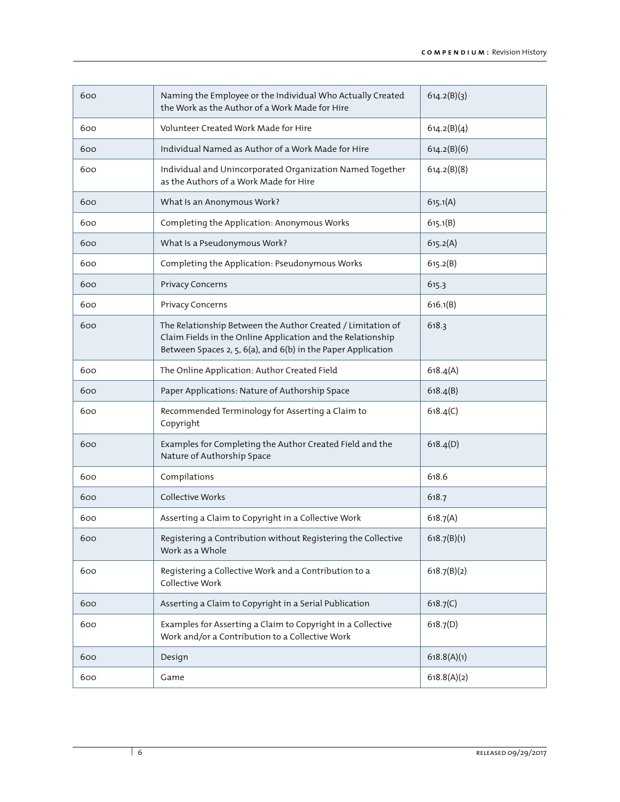| 600 | Naming the Employee or the Individual Who Actually Created<br>the Work as the Author of a Work Made for Hire                                                                               | 614.2(B)(3) |
|-----|--------------------------------------------------------------------------------------------------------------------------------------------------------------------------------------------|-------------|
| 600 | Volunteer Created Work Made for Hire                                                                                                                                                       | 614.2(B)(4) |
| 600 | Individual Named as Author of a Work Made for Hire                                                                                                                                         | 614.2(B)(6) |
| 600 | Individual and Unincorporated Organization Named Together<br>as the Authors of a Work Made for Hire                                                                                        | 614.2(B)(8) |
| 600 | What Is an Anonymous Work?                                                                                                                                                                 | 615.1(A)    |
| 600 | Completing the Application: Anonymous Works                                                                                                                                                | 615.1(B)    |
| 600 | What Is a Pseudonymous Work?                                                                                                                                                               | 615.2(A)    |
| 600 | Completing the Application: Pseudonymous Works                                                                                                                                             | 615.2(B)    |
| 600 | Privacy Concerns                                                                                                                                                                           | 615.3       |
| 600 | Privacy Concerns                                                                                                                                                                           | 616.1(B)    |
| 600 | The Relationship Between the Author Created / Limitation of<br>Claim Fields in the Online Application and the Relationship<br>Between Spaces 2, 5, 6(a), and 6(b) in the Paper Application | 618.3       |
| 600 | The Online Application: Author Created Field                                                                                                                                               | 618.4(A)    |
| 600 | Paper Applications: Nature of Authorship Space                                                                                                                                             | 618.4(B)    |
| 600 | Recommended Terminology for Asserting a Claim to<br>Copyright                                                                                                                              | 618.4(C)    |
| 600 | Examples for Completing the Author Created Field and the<br>Nature of Authorship Space                                                                                                     | 618.4(D)    |
| 600 | Compilations                                                                                                                                                                               | 618.6       |
| 600 | Collective Works                                                                                                                                                                           | 618.7       |
| 600 | Asserting a Claim to Copyright in a Collective Work                                                                                                                                        | 618.7(A)    |
| 600 | Registering a Contribution without Registering the Collective<br>Work as a Whole                                                                                                           | 618.7(B)(1) |
| 600 | Registering a Collective Work and a Contribution to a<br>Collective Work                                                                                                                   | 618.7(B)(2) |
| 600 | Asserting a Claim to Copyright in a Serial Publication                                                                                                                                     | 618.7(C)    |
| 600 | Examples for Asserting a Claim to Copyright in a Collective<br>Work and/or a Contribution to a Collective Work                                                                             | 618.7(D)    |
| 600 | Design                                                                                                                                                                                     | 618.8(A)(1) |
| 600 | Game                                                                                                                                                                                       | 618.8(A)(2) |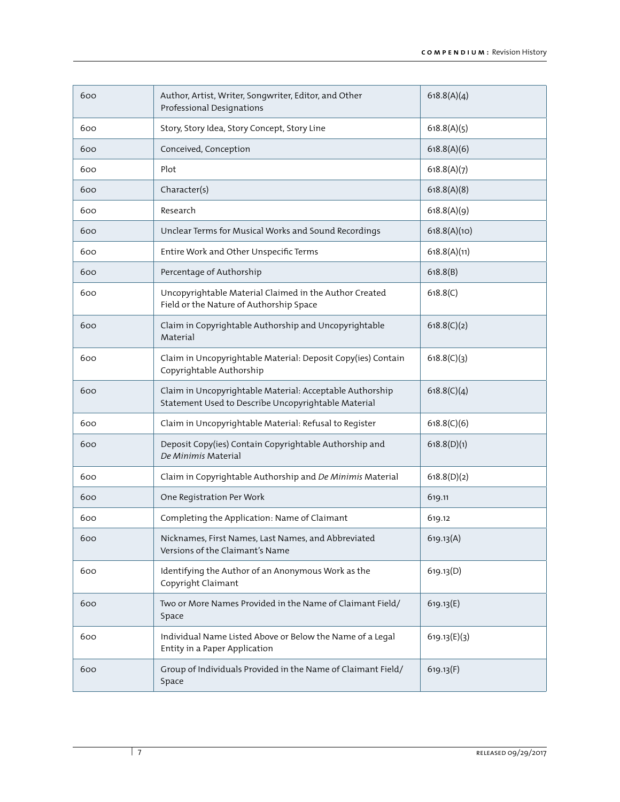| 600 | Author, Artist, Writer, Songwriter, Editor, and Other<br>Professional Designations                              | 618.8(A)(4)  |
|-----|-----------------------------------------------------------------------------------------------------------------|--------------|
| 600 | Story, Story Idea, Story Concept, Story Line                                                                    | 618.8(A)(5)  |
| 600 | Conceived, Conception                                                                                           | 618.8(A)(6)  |
| 600 | Plot                                                                                                            | 618.8(A)(7)  |
| 600 | Character(s)                                                                                                    | 618.8(A)(8)  |
| 600 | Research                                                                                                        | 618.8(A)(9)  |
| 600 | Unclear Terms for Musical Works and Sound Recordings                                                            | 618.8(A)(10) |
| 600 | Entire Work and Other Unspecific Terms                                                                          | 618.8(A)(11) |
| 600 | Percentage of Authorship                                                                                        | 618.8(B)     |
| 600 | Uncopyrightable Material Claimed in the Author Created<br>Field or the Nature of Authorship Space               | 618.8(C)     |
| 600 | Claim in Copyrightable Authorship and Uncopyrightable<br>Material                                               | 618.8(C)(2)  |
| 600 | Claim in Uncopyrightable Material: Deposit Copy(ies) Contain<br>Copyrightable Authorship                        | 618.8(C)(3)  |
| 600 | Claim in Uncopyrightable Material: Acceptable Authorship<br>Statement Used to Describe Uncopyrightable Material | 618.8(C)(4)  |
| 600 | Claim in Uncopyrightable Material: Refusal to Register                                                          | 618.8(C)(6)  |
| 600 | Deposit Copy(ies) Contain Copyrightable Authorship and<br>De Minimis Material                                   | 618.8(D)(1)  |
| 600 | Claim in Copyrightable Authorship and De Minimis Material                                                       | 618.8(D)(2)  |
| 600 | One Registration Per Work                                                                                       | 619.11       |
| 600 | Completing the Application: Name of Claimant                                                                    | 619.12       |
| 600 | Nicknames, First Names, Last Names, and Abbreviated<br>Versions of the Claimant's Name                          | 619.13(A)    |
| 600 | Identifying the Author of an Anonymous Work as the<br>Copyright Claimant                                        | 619.13(D)    |
| 600 | Two or More Names Provided in the Name of Claimant Field/<br>Space                                              | 619.13(E)    |
| 600 | Individual Name Listed Above or Below the Name of a Legal<br>Entity in a Paper Application                      | 619.13(E)(3) |
| 600 | Group of Individuals Provided in the Name of Claimant Field/<br>Space                                           | 619.13(F)    |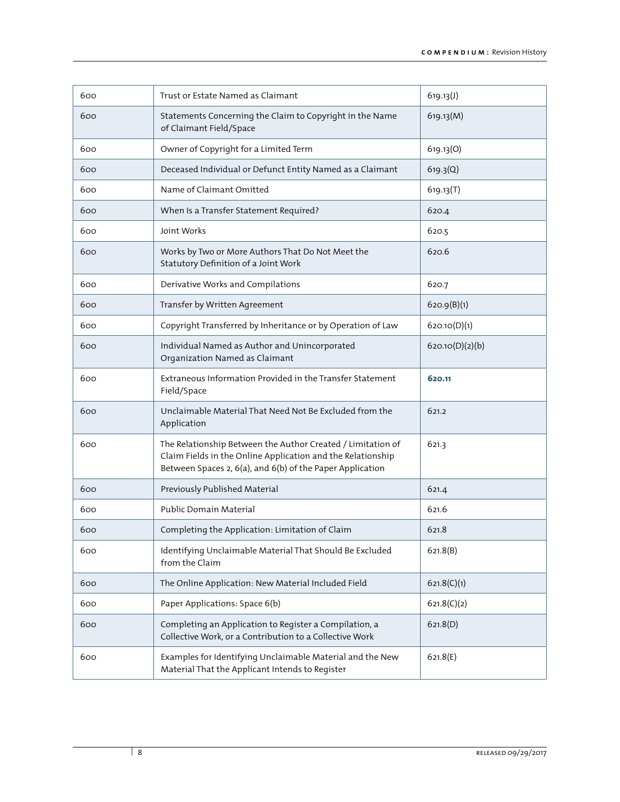| 600 | Trust or Estate Named as Claimant                                                                                                                                                       | 619.13(J)       |
|-----|-----------------------------------------------------------------------------------------------------------------------------------------------------------------------------------------|-----------------|
| 600 | Statements Concerning the Claim to Copyright in the Name<br>of Claimant Field/Space                                                                                                     | 619.13(M)       |
| 600 | Owner of Copyright for a Limited Term                                                                                                                                                   | 619.13(O)       |
| 600 | Deceased Individual or Defunct Entity Named as a Claimant                                                                                                                               | 619.3(Q)        |
| 600 | Name of Claimant Omitted                                                                                                                                                                | 619.13(T)       |
| 600 | When Is a Transfer Statement Required?                                                                                                                                                  | 620.4           |
| 600 | Joint Works                                                                                                                                                                             | 620.5           |
| 600 | Works by Two or More Authors That Do Not Meet the<br>Statutory Definition of a Joint Work                                                                                               | 620.6           |
| 600 | Derivative Works and Compilations                                                                                                                                                       | 620.7           |
| 600 | Transfer by Written Agreement                                                                                                                                                           | 620.9(B)(1)     |
| 600 | Copyright Transferred by Inheritance or by Operation of Law                                                                                                                             | 620.10(D)(1)    |
| 600 | Individual Named as Author and Unincorporated<br>Organization Named as Claimant                                                                                                         | 620.10(D)(2)(b) |
| 600 | Extraneous Information Provided in the Transfer Statement<br>Field/Space                                                                                                                | 620.11          |
| 600 | Unclaimable Material That Need Not Be Excluded from the<br>Application                                                                                                                  | 621.2           |
| 600 | The Relationship Between the Author Created / Limitation of<br>Claim Fields in the Online Application and the Relationship<br>Between Spaces 2, 6(a), and 6(b) of the Paper Application | 621.3           |
| 600 | Previously Published Material                                                                                                                                                           | 621.4           |
| 600 | Public Domain Material                                                                                                                                                                  | 621.6           |
| 600 | Completing the Application: Limitation of Claim                                                                                                                                         | 621.8           |
| 600 | Identifying Unclaimable Material That Should Be Excluded<br>from the Claim                                                                                                              | 621.8(B)        |
| 600 | The Online Application: New Material Included Field                                                                                                                                     | 621.8(C)(1)     |
| 600 | Paper Applications: Space 6(b)                                                                                                                                                          | 621.8(C)(2)     |
| 600 | Completing an Application to Register a Compilation, a<br>Collective Work, or a Contribution to a Collective Work                                                                       | 621.8(D)        |
| 600 | Examples for Identifying Unclaimable Material and the New<br>Material That the Applicant Intends to Register                                                                            | 621.8(E)        |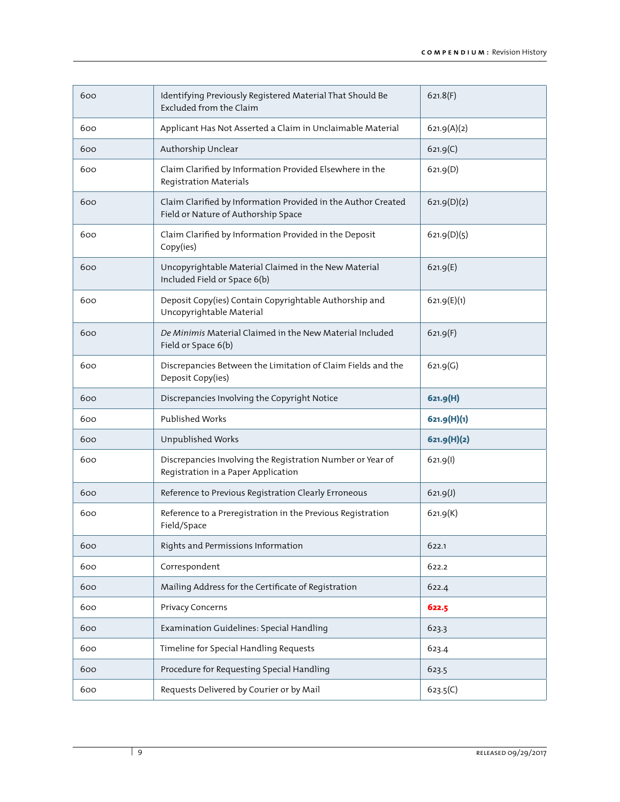| 600 | Identifying Previously Registered Material That Should Be<br>Excluded from the Claim                 | 621.8(F)    |
|-----|------------------------------------------------------------------------------------------------------|-------------|
| 600 | Applicant Has Not Asserted a Claim in Unclaimable Material                                           | 621.9(A)(2) |
| 600 | Authorship Unclear                                                                                   | 621.9(C)    |
| 600 | Claim Clarified by Information Provided Elsewhere in the<br>Registration Materials                   | 621.9(D)    |
| 600 | Claim Clarified by Information Provided in the Author Created<br>Field or Nature of Authorship Space | 621.9(D)(2) |
| 600 | Claim Clarified by Information Provided in the Deposit<br>Copy(ies)                                  | 621.9(D)(5) |
| 600 | Uncopyrightable Material Claimed in the New Material<br>Included Field or Space 6(b)                 | 621.9(E)    |
| 600 | Deposit Copy(ies) Contain Copyrightable Authorship and<br>Uncopyrightable Material                   | 621.9(E)(1) |
| 600 | De Minimis Material Claimed in the New Material Included<br>Field or Space 6(b)                      | 621.9(F)    |
| 600 | Discrepancies Between the Limitation of Claim Fields and the<br>Deposit Copy(ies)                    | 621.9(G)    |
| 600 | Discrepancies Involving the Copyright Notice                                                         | 621.9(H)    |
|     |                                                                                                      |             |
| 600 | <b>Published Works</b>                                                                               | 621.9(H)(1) |
| 600 | Unpublished Works                                                                                    | 621.9(H)(2) |
| 600 | Discrepancies Involving the Registration Number or Year of<br>Registration in a Paper Application    | 621.9(1)    |
| 600 | Reference to Previous Registration Clearly Erroneous                                                 | 621.9(J)    |
| 600 | Reference to a Preregistration in the Previous Registration<br>Field/Space                           | 621.9(K)    |
| 600 | Rights and Permissions Information                                                                   | 622.1       |
| 600 | Correspondent                                                                                        | 622.2       |
| 600 | Mailing Address for the Certificate of Registration                                                  | 622.4       |
| 600 | Privacy Concerns                                                                                     | 622.5       |
| 600 | Examination Guidelines: Special Handling                                                             | 623.3       |
| 600 | Timeline for Special Handling Requests                                                               | 623.4       |
| 600 | Procedure for Requesting Special Handling                                                            | 623.5       |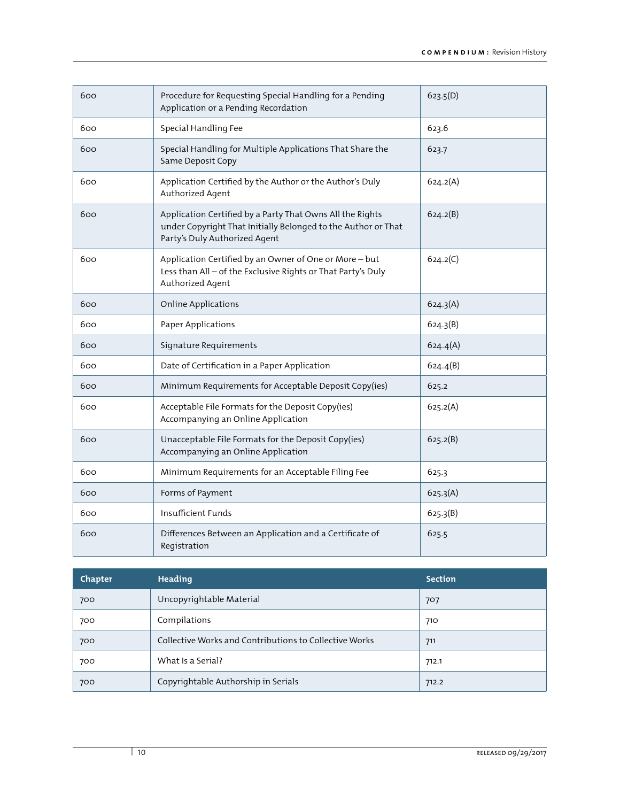| 600 | Procedure for Requesting Special Handling for a Pending<br>Application or a Pending Recordation                                                             | 623.5(D) |
|-----|-------------------------------------------------------------------------------------------------------------------------------------------------------------|----------|
| 600 | Special Handling Fee                                                                                                                                        | 623.6    |
| 600 | Special Handling for Multiple Applications That Share the<br>Same Deposit Copy                                                                              | 623.7    |
| 600 | Application Certified by the Author or the Author's Duly<br>Authorized Agent                                                                                | 624.2(A) |
| 600 | Application Certified by a Party That Owns All the Rights<br>under Copyright That Initially Belonged to the Author or That<br>Party's Duly Authorized Agent | 624.2(B) |
| 600 | Application Certified by an Owner of One or More-but<br>Less than All - of the Exclusive Rights or That Party's Duly<br>Authorized Agent                    | 624.2(C) |
| 600 | <b>Online Applications</b>                                                                                                                                  | 624.3(A) |
| 600 | Paper Applications                                                                                                                                          | 624.3(B) |
| 600 | Signature Requirements                                                                                                                                      | 624.4(A) |
| 600 | Date of Certification in a Paper Application                                                                                                                | 624.4(B) |
| 600 | Minimum Requirements for Acceptable Deposit Copy(ies)                                                                                                       | 625.2    |
| 600 | Acceptable File Formats for the Deposit Copy(ies)<br>Accompanying an Online Application                                                                     | 625.2(A) |
| 600 | Unacceptable File Formats for the Deposit Copy(ies)<br>Accompanying an Online Application                                                                   | 625.2(B) |
| 600 | Minimum Requirements for an Acceptable Filing Fee                                                                                                           | 625.3    |
| 600 | Forms of Payment                                                                                                                                            | 625.3(A) |
| 600 | Insufficient Funds                                                                                                                                          | 625.3(B) |
| 600 | Differences Between an Application and a Certificate of<br>Registration                                                                                     | 625.5    |

| Chapter | Heading                                                | <b>Section</b> |
|---------|--------------------------------------------------------|----------------|
| 700     | Uncopyrightable Material                               | 707            |
| 700     | Compilations                                           | 710            |
| 700     | Collective Works and Contributions to Collective Works | 711            |
| 700     | What Is a Serial?                                      | 712.1          |
| 700     | Copyrightable Authorship in Serials                    | 712.2          |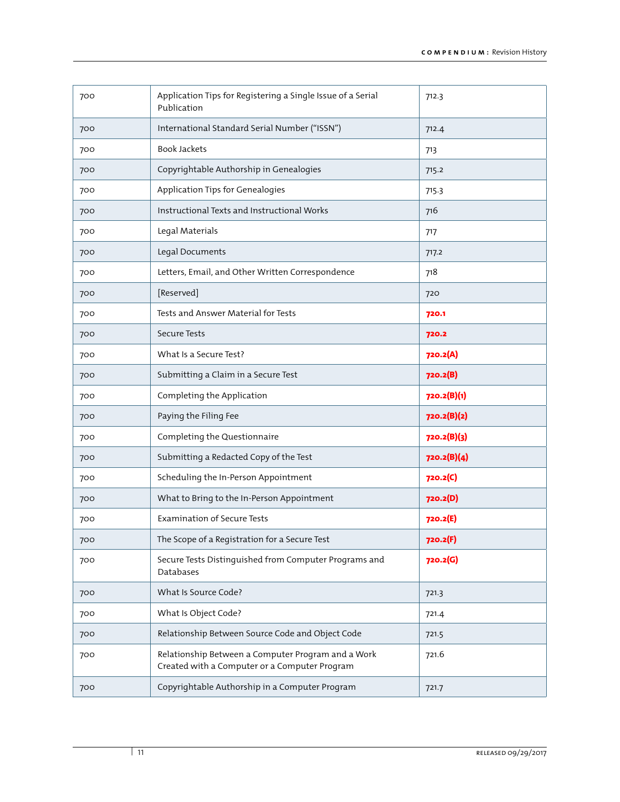| 700 | Application Tips for Registering a Single Issue of a Serial<br>Publication                          | 712.3       |
|-----|-----------------------------------------------------------------------------------------------------|-------------|
| 700 | International Standard Serial Number ("ISSN")                                                       | 712.4       |
| 700 | <b>Book Jackets</b>                                                                                 | 713         |
| 700 | Copyrightable Authorship in Genealogies                                                             | 715.2       |
| 700 | Application Tips for Genealogies                                                                    | 715.3       |
| 700 | Instructional Texts and Instructional Works                                                         | 716         |
| 700 | Legal Materials                                                                                     | 717         |
| 700 | Legal Documents                                                                                     | 717.2       |
| 700 | Letters, Email, and Other Written Correspondence                                                    | 718         |
| 700 | [Reserved]                                                                                          | 720         |
| 700 | Tests and Answer Material for Tests                                                                 | 720.1       |
| 700 | <b>Secure Tests</b>                                                                                 | 720.2       |
| 700 | What Is a Secure Test?                                                                              | 720.2(A)    |
| 700 | Submitting a Claim in a Secure Test                                                                 | 720.2(B)    |
| 700 | Completing the Application                                                                          | 720.2(B)(1) |
| 700 | Paying the Filing Fee                                                                               | 720.2(B)(2) |
| 700 | Completing the Questionnaire                                                                        | 720.2(B)(3) |
| 700 | Submitting a Redacted Copy of the Test                                                              | 720.2(B)(4) |
| 700 | Scheduling the In-Person Appointment                                                                | 720.2(C)    |
| 700 | What to Bring to the In-Person Appointment                                                          | 720.2(D)    |
| 700 | <b>Examination of Secure Tests</b>                                                                  | 720.2(E)    |
| 700 | The Scope of a Registration for a Secure Test                                                       | 720.2(F)    |
| 700 | Secure Tests Distinguished from Computer Programs and<br>Databases                                  | 720.2(G)    |
| 700 | What Is Source Code?                                                                                | 721.3       |
| 700 | What Is Object Code?                                                                                | 721.4       |
| 700 | Relationship Between Source Code and Object Code                                                    | 721.5       |
| 700 | Relationship Between a Computer Program and a Work<br>Created with a Computer or a Computer Program | 721.6       |
| 700 | Copyrightable Authorship in a Computer Program                                                      | 721.7       |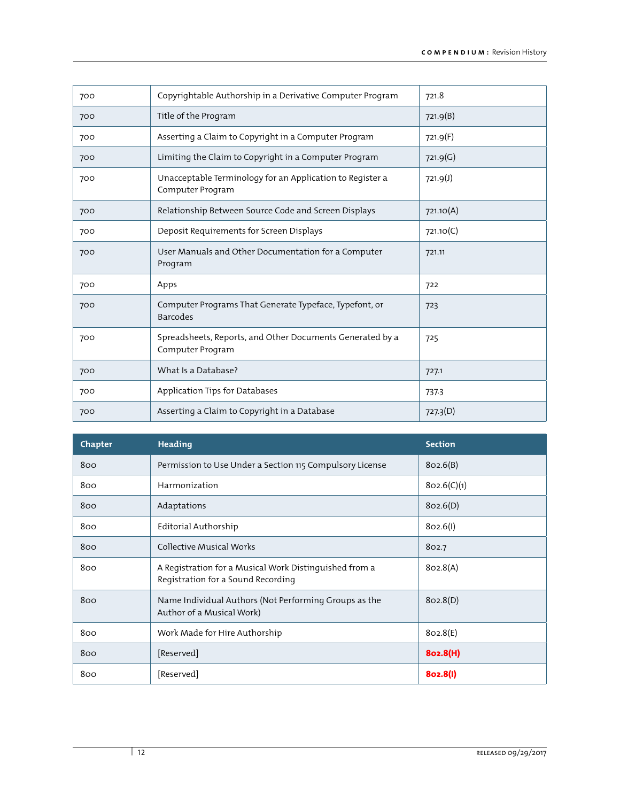| 700 | Copyrightable Authorship in a Derivative Computer Program                     | 721.8     |
|-----|-------------------------------------------------------------------------------|-----------|
| 700 | Title of the Program                                                          | 721.9(B)  |
| 700 | Asserting a Claim to Copyright in a Computer Program                          | 721.9(F)  |
| 700 | Limiting the Claim to Copyright in a Computer Program                         | 721.9(G)  |
| 700 | Unacceptable Terminology for an Application to Register a<br>Computer Program | 721.9(J)  |
| 700 | Relationship Between Source Code and Screen Displays                          | 721.10(A) |
| 700 | Deposit Requirements for Screen Displays                                      | 721.10(C) |
| 700 | User Manuals and Other Documentation for a Computer<br>Program                | 721.11    |
| 700 | Apps                                                                          | 722       |
| 700 | Computer Programs That Generate Typeface, Typefont, or<br><b>Barcodes</b>     | 723       |
| 700 | Spreadsheets, Reports, and Other Documents Generated by a<br>Computer Program | 725       |
| 700 | What Is a Database?                                                           | 727.1     |
| 700 | Application Tips for Databases                                                | 737.3     |
| 700 | Asserting a Claim to Copyright in a Database                                  | 727.3(D)  |

| Chapter | Heading                                                                                      | <b>Section</b> |
|---------|----------------------------------------------------------------------------------------------|----------------|
| 800     | Permission to Use Under a Section 115 Compulsory License                                     | 802.6(B)       |
| 800     | Harmonization                                                                                | 802.6(C)(1)    |
| 800     | Adaptations                                                                                  | 802.6(D)       |
| 800     | Editorial Authorship                                                                         | 802.6(l)       |
| 800     | <b>Collective Musical Works</b>                                                              | 802.7          |
| 800     | A Registration for a Musical Work Distinguished from a<br>Registration for a Sound Recording | 802.8(A)       |
| 800     | Name Individual Authors (Not Performing Groups as the<br>Author of a Musical Work)           | 802.8(D)       |
| 800     | Work Made for Hire Authorship                                                                | 802.8(E)       |
| 800     | [Reserved]                                                                                   | 802.8(H)       |
| 800     | [Reserved]                                                                                   | 802.8(I)       |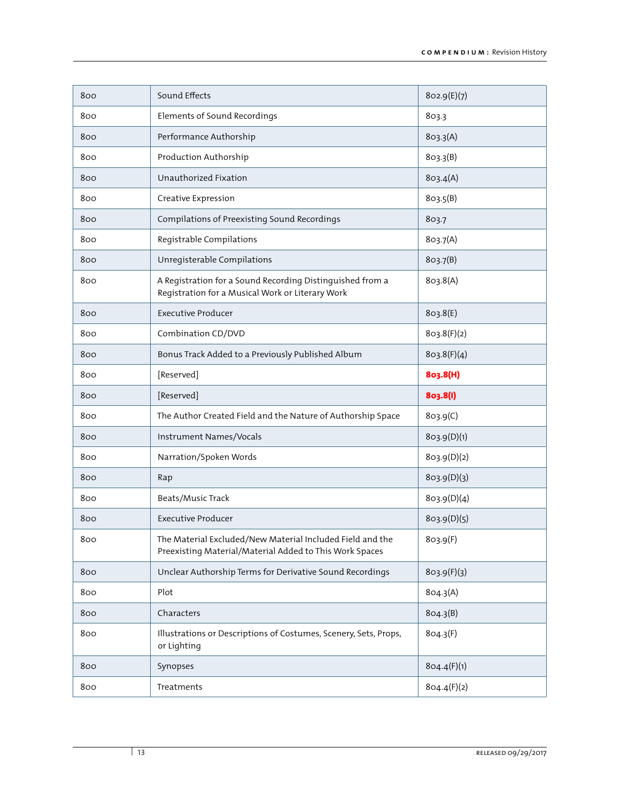| 800 | Sound Effects                                                                                                        | 802.9(E)(7) |
|-----|----------------------------------------------------------------------------------------------------------------------|-------------|
| 800 | Elements of Sound Recordings                                                                                         | 803.3       |
| 800 | Performance Authorship                                                                                               | 803.3(A)    |
| 800 | Production Authorship                                                                                                | 803.3(B)    |
| 800 | Unauthorized Fixation                                                                                                | 803.4(A)    |
| 800 | Creative Expression                                                                                                  | 803.5(B)    |
| 800 | Compilations of Preexisting Sound Recordings                                                                         | 803.7       |
| 800 | Registrable Compilations                                                                                             | 803.7(A)    |
| 800 | Unregisterable Compilations                                                                                          | 803.7(B)    |
| 800 | A Registration for a Sound Recording Distinguished from a<br>Registration for a Musical Work or Literary Work        | 803.8(A)    |
| 800 | <b>Executive Producer</b>                                                                                            | 803.8(E)    |
| 800 | Combination CD/DVD                                                                                                   | 803.8(F)(2) |
| 800 | Bonus Track Added to a Previously Published Album                                                                    | 803.8(F)(4) |
| 800 | [Reserved]                                                                                                           | 803.8(H)    |
|     |                                                                                                                      |             |
| 800 | [Reserved]                                                                                                           | 803.8(I)    |
| 800 | The Author Created Field and the Nature of Authorship Space                                                          | 803.9(C)    |
| 800 | Instrument Names/Vocals                                                                                              | 803.9(D)(1) |
| 800 | Narration/Spoken Words                                                                                               | 803.9(D)(2) |
| 800 | Rap                                                                                                                  | 803.9(D)(3) |
| 800 | Beats/Music Track                                                                                                    | 803.9(D)(4) |
| 800 | <b>Executive Producer</b>                                                                                            | 803.9(D)(5) |
| 800 | The Material Excluded/New Material Included Field and the<br>Preexisting Material/Material Added to This Work Spaces | 803.9(F)    |
| 800 | Unclear Authorship Terms for Derivative Sound Recordings                                                             | 803.9(F)(3) |
| 800 | Plot                                                                                                                 | 804.3(A)    |
| 800 | Characters                                                                                                           | 804.3(B)    |
| 800 | Illustrations or Descriptions of Costumes, Scenery, Sets, Props,<br>or Lighting                                      | 804.3(F)    |
| 800 | Synopses                                                                                                             | 804.4(F)(1) |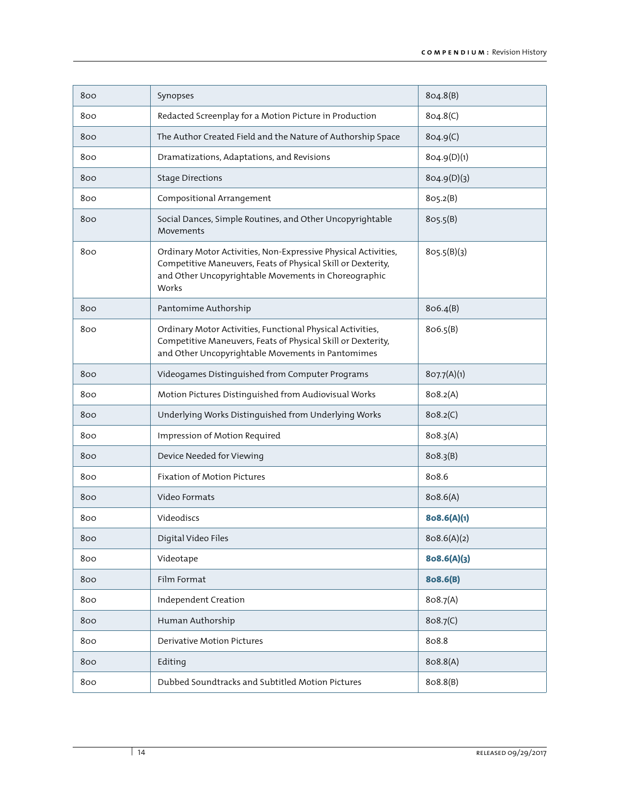| 800 | Synopses                                                                                                                                                                                        | 804.8(B)    |
|-----|-------------------------------------------------------------------------------------------------------------------------------------------------------------------------------------------------|-------------|
| 800 | Redacted Screenplay for a Motion Picture in Production                                                                                                                                          | 804.8(C)    |
| 800 | The Author Created Field and the Nature of Authorship Space                                                                                                                                     | 804.9(C)    |
| 800 | Dramatizations, Adaptations, and Revisions                                                                                                                                                      | 804.9(D)(1) |
| 800 | <b>Stage Directions</b>                                                                                                                                                                         | 804.9(D)(3) |
| 800 | Compositional Arrangement                                                                                                                                                                       | 805.2(B)    |
| 800 | Social Dances, Simple Routines, and Other Uncopyrightable<br>Movements                                                                                                                          | 805.5(B)    |
| 800 | Ordinary Motor Activities, Non-Expressive Physical Activities,<br>Competitive Maneuvers, Feats of Physical Skill or Dexterity,<br>and Other Uncopyrightable Movements in Choreographic<br>Works | 805.5(B)(3) |
| 800 | Pantomime Authorship                                                                                                                                                                            | 806.4(B)    |
| 800 | Ordinary Motor Activities, Functional Physical Activities,<br>Competitive Maneuvers, Feats of Physical Skill or Dexterity,<br>and Other Uncopyrightable Movements in Pantomimes                 | 806.5(B)    |
| 800 | Videogames Distinguished from Computer Programs                                                                                                                                                 | 807.7(A)(1) |
| 800 | Motion Pictures Distinguished from Audiovisual Works                                                                                                                                            | 808.2(A)    |
| 800 | Underlying Works Distinguished from Underlying Works                                                                                                                                            | 808.2(C)    |
| 800 | Impression of Motion Required                                                                                                                                                                   | 808.3(A)    |
| 800 | Device Needed for Viewing                                                                                                                                                                       | 808.3(B)    |
| 800 | <b>Fixation of Motion Pictures</b>                                                                                                                                                              | 808.6       |
| 800 | Video Formats                                                                                                                                                                                   | 808.6(A)    |
| 800 | Videodiscs                                                                                                                                                                                      | 8o8.6(A)(1) |
| 800 | Digital Video Files                                                                                                                                                                             | 808.6(A)(2) |
| 800 | Videotape                                                                                                                                                                                       | 8o8.6(A)(3) |
| 800 | Film Format                                                                                                                                                                                     | 808.6(B)    |
| 800 | Independent Creation                                                                                                                                                                            | 808.7(A)    |
| 800 | Human Authorship                                                                                                                                                                                | 808.7(C)    |
| 800 | <b>Derivative Motion Pictures</b>                                                                                                                                                               | 808.8       |
| 800 | Editing                                                                                                                                                                                         | 808.8(A)    |
| 800 | Dubbed Soundtracks and Subtitled Motion Pictures                                                                                                                                                | 808.8(B)    |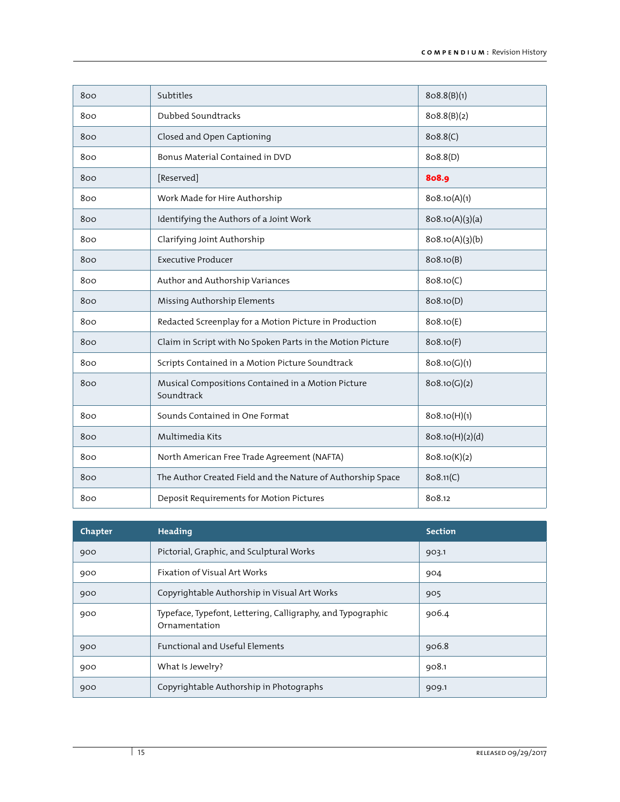| 800 | Subtitles                                                        | 808.8(B)(1)     |
|-----|------------------------------------------------------------------|-----------------|
| 800 | Dubbed Soundtracks                                               | 808.8(B)(2)     |
| 800 | Closed and Open Captioning                                       | 808.8(C)        |
| 800 | Bonus Material Contained in DVD                                  | 808.8(D)        |
| 800 | [Reserved]                                                       | 808.9           |
| 800 | Work Made for Hire Authorship                                    | 808.10(A)(1)    |
| 800 | Identifying the Authors of a Joint Work                          | 808.10(A)(3)(a) |
| 800 | Clarifying Joint Authorship                                      | 808.10(A)(3)(b) |
| 800 | <b>Executive Producer</b>                                        | 808.10(B)       |
| 800 | Author and Authorship Variances                                  | 808.10(C)       |
| 800 | Missing Authorship Elements                                      | 808.10(D)       |
| 800 | Redacted Screenplay for a Motion Picture in Production           | 808.10(E)       |
| 800 | Claim in Script with No Spoken Parts in the Motion Picture       | 808.10(F)       |
| 800 | Scripts Contained in a Motion Picture Soundtrack                 | 808.10(G)(1)    |
| 800 | Musical Compositions Contained in a Motion Picture<br>Soundtrack | 808.10(G)(2)    |
| 800 | Sounds Contained in One Format                                   | 808.10(H)(1)    |
| 800 | Multimedia Kits                                                  | 808.10(H)(2)(d) |
| 800 | North American Free Trade Agreement (NAFTA)                      | 808.10(K)(2)    |
| 800 | The Author Created Field and the Nature of Authorship Space      | 808.11(C)       |
| 800 | Deposit Requirements for Motion Pictures                         | 808.12          |

| Chapter | Heading                                                                      | <b>Section</b> |
|---------|------------------------------------------------------------------------------|----------------|
| 900     | Pictorial, Graphic, and Sculptural Works                                     | 903.1          |
| 900     | Fixation of Visual Art Works                                                 | 904            |
| 900     | Copyrightable Authorship in Visual Art Works                                 | 905            |
| 900     | Typeface, Typefont, Lettering, Calligraphy, and Typographic<br>Ornamentation | 906.4          |
| 900     | <b>Functional and Useful Elements</b>                                        | 906.8          |
| 900     | What Is Jewelry?                                                             | 908.1          |
| 900     | Copyrightable Authorship in Photographs                                      | 909.1          |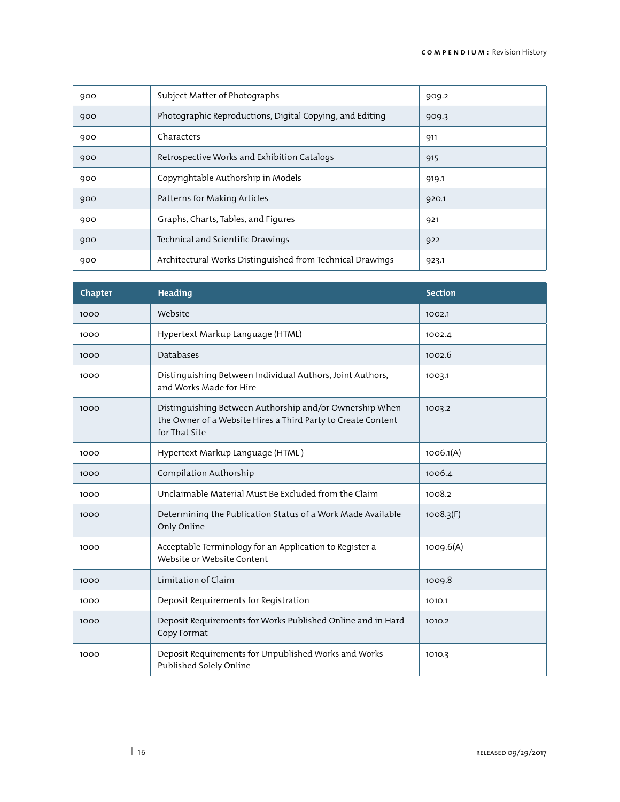| 900 | Subject Matter of Photographs                             | 909.2 |
|-----|-----------------------------------------------------------|-------|
| 900 | Photographic Reproductions, Digital Copying, and Editing  | 909.3 |
| 900 | Characters                                                | 911   |
| 900 | Retrospective Works and Exhibition Catalogs               | 915   |
| 900 | Copyrightable Authorship in Models                        | 919.1 |
| 900 | Patterns for Making Articles                              | 920.1 |
| 900 | Graphs, Charts, Tables, and Figures                       | 921   |
| 900 | Technical and Scientific Drawings                         | 922   |
| 900 | Architectural Works Distinguished from Technical Drawings | 923.1 |

| Chapter | <b>Heading</b>                                                                                                                           | <b>Section</b> |
|---------|------------------------------------------------------------------------------------------------------------------------------------------|----------------|
| 1000    | Website                                                                                                                                  | 1002.1         |
| 1000    | Hypertext Markup Language (HTML)                                                                                                         | 1002.4         |
| 1000    | <b>Databases</b>                                                                                                                         | 1002.6         |
| 1000    | Distinguishing Between Individual Authors, Joint Authors,<br>and Works Made for Hire                                                     | 1003.1         |
| 1000    | Distinguishing Between Authorship and/or Ownership When<br>the Owner of a Website Hires a Third Party to Create Content<br>for That Site | 1003.2         |
| 1000    | Hypertext Markup Language (HTML)                                                                                                         | 1006.1(A)      |
| 1000    | Compilation Authorship                                                                                                                   | 1006.4         |
| 1000    | Unclaimable Material Must Be Excluded from the Claim                                                                                     | 1008.2         |
| 1000    | Determining the Publication Status of a Work Made Available<br>Only Online                                                               | 1008.3(F)      |
| 1000    | Acceptable Terminology for an Application to Register a<br>Website or Website Content                                                    | 1009.6(A)      |
| 1000    | Limitation of Claim                                                                                                                      | 1009.8         |
| 1000    | Deposit Requirements for Registration                                                                                                    | 1010.1         |
| 1000    | Deposit Requirements for Works Published Online and in Hard<br>Copy Format                                                               | 1010.2         |
| 1000    | Deposit Requirements for Unpublished Works and Works<br>Published Solely Online                                                          | 1010.3         |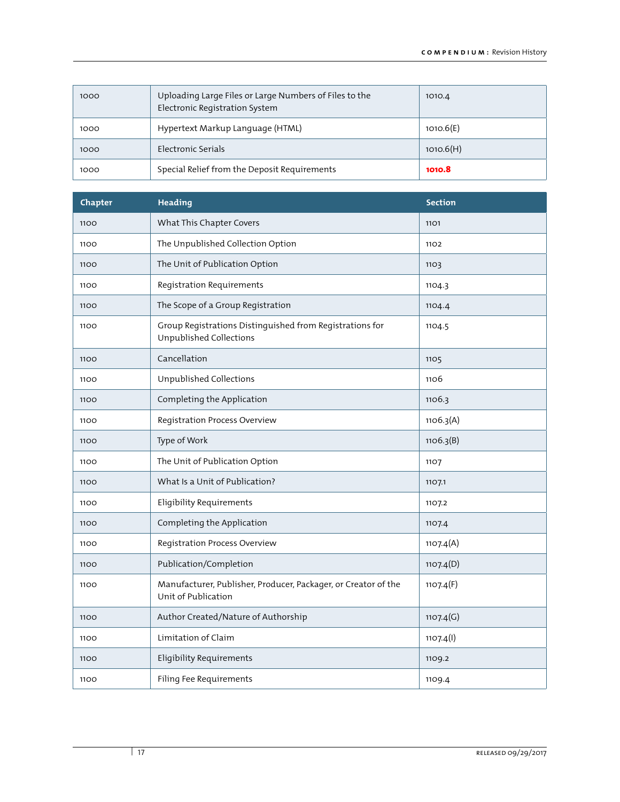| 1000 | Uploading Large Files or Large Numbers of Files to the<br>Electronic Registration System | 1010.4    |
|------|------------------------------------------------------------------------------------------|-----------|
| 1000 | Hypertext Markup Language (HTML)                                                         | 1010.6(E) |
| 1000 | Electronic Serials                                                                       | 1010.6(H) |
| 1000 | Special Relief from the Deposit Requirements                                             | 1010.8    |

| Chapter | Heading                                                                               | <b>Section</b> |
|---------|---------------------------------------------------------------------------------------|----------------|
| 1100    | What This Chapter Covers                                                              | 1101           |
| 1100    | The Unpublished Collection Option                                                     | 1102           |
| 1100    | The Unit of Publication Option                                                        | 1103           |
| 1100    | Registration Requirements                                                             | 1104.3         |
| 1100    | The Scope of a Group Registration                                                     | 1104.4         |
| 1100    | Group Registrations Distinguished from Registrations for<br>Unpublished Collections   | 1104.5         |
| 1100    | Cancellation                                                                          | 1105           |
| 1100    | Unpublished Collections                                                               | 1106           |
| 1100    | Completing the Application                                                            | 1106.3         |
| 1100    | Registration Process Overview                                                         | 1106.3(A)      |
| 1100    | Type of Work                                                                          | 1106.3(B)      |
| 1100    | The Unit of Publication Option                                                        | 1107           |
| 1100    | What Is a Unit of Publication?                                                        | 1107.1         |
| 1100    | <b>Eligibility Requirements</b>                                                       | 1107.2         |
| 1100    | Completing the Application                                                            | 1107.4         |
| 1100    | Registration Process Overview                                                         | 1107.4(A)      |
| 1100    | Publication/Completion                                                                | 1107.4(D)      |
| 1100    | Manufacturer, Publisher, Producer, Packager, or Creator of the<br>Unit of Publication | 1107.4(F)      |
| 1100    | Author Created/Nature of Authorship                                                   | 1107.4(G)      |
| 1100    | Limitation of Claim                                                                   | 1107.4(l)      |
| 1100    | <b>Eligibility Requirements</b>                                                       | 1109.2         |
| 1100    | Filing Fee Requirements                                                               | 1109.4         |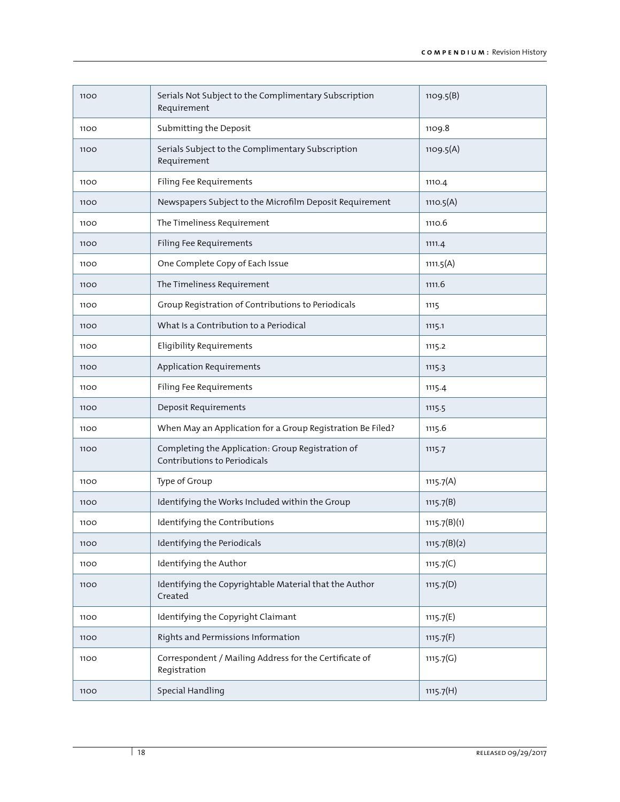| 1100 | Serials Not Subject to the Complimentary Subscription<br>Requirement              | 1109.5(B)    |
|------|-----------------------------------------------------------------------------------|--------------|
| 1100 | Submitting the Deposit                                                            | 1109.8       |
| 1100 | Serials Subject to the Complimentary Subscription<br>Requirement                  | 1109.5(A)    |
| 1100 | Filing Fee Requirements                                                           | 1110.4       |
| 1100 | Newspapers Subject to the Microfilm Deposit Requirement                           | 1110.5(A)    |
| 1100 | The Timeliness Requirement                                                        | 1110.6       |
| 1100 | Filing Fee Requirements                                                           | 1111.4       |
| 1100 | One Complete Copy of Each Issue                                                   | 1111.5(A)    |
| 1100 | The Timeliness Requirement                                                        | 1111.6       |
| 1100 | Group Registration of Contributions to Periodicals                                | 1115         |
| 1100 | What Is a Contribution to a Periodical                                            | 1115.1       |
| 1100 | <b>Eligibility Requirements</b>                                                   | 1115.2       |
| 1100 | Application Requirements                                                          | 1115.3       |
| 1100 | Filing Fee Requirements                                                           | 1115.4       |
| 1100 | Deposit Requirements                                                              | 1115.5       |
| 1100 | When May an Application for a Group Registration Be Filed?                        | 1115.6       |
| 1100 | Completing the Application: Group Registration of<br>Contributions to Periodicals | 1115.7       |
| 1100 | Type of Group                                                                     | 1115.7(A)    |
| 1100 | Identifying the Works Included within the Group                                   | 1115.7(B)    |
| 1100 | Identifying the Contributions                                                     | 1115.7(B)(1) |
| 1100 | Identifying the Periodicals                                                       | 1115.7(B)(2) |
| 1100 | Identifying the Author                                                            | 1115.7(C)    |
| 1100 | Identifying the Copyrightable Material that the Author<br>Created                 | 1115.7(D)    |
| 1100 | Identifying the Copyright Claimant                                                | 1115.7(E)    |
| 1100 | Rights and Permissions Information                                                | 1115.7(F)    |
| 1100 | Correspondent / Mailing Address for the Certificate of<br>Registration            | 1115.7(G)    |
| 1100 | Special Handling                                                                  | 1115.7(H)    |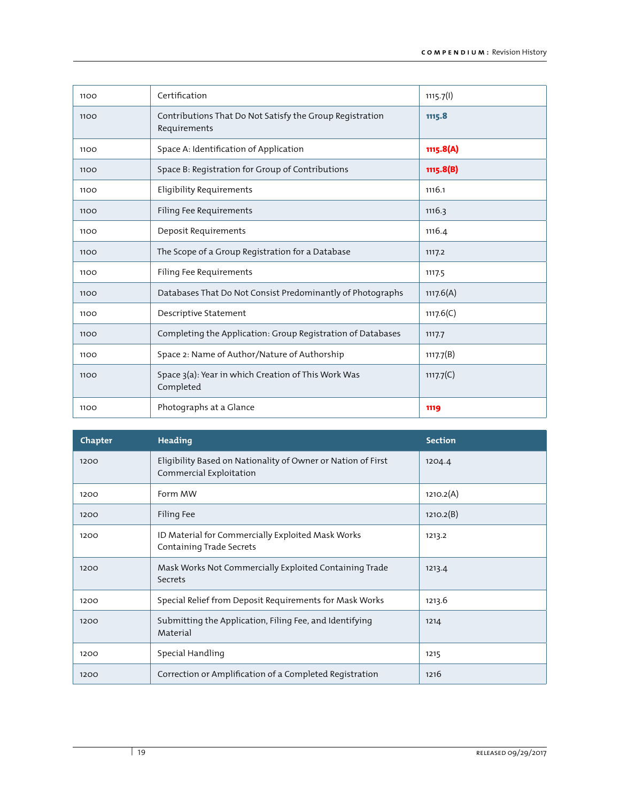| 1100 | Certification                                                            | 1115.7(l)    |
|------|--------------------------------------------------------------------------|--------------|
| 1100 | Contributions That Do Not Satisfy the Group Registration<br>Requirements | 1115.8       |
| 1100 | Space A: Identification of Application                                   | 1115.8(A)    |
| 1100 | Space B: Registration for Group of Contributions                         | 1115.8(B)    |
| 1100 | <b>Eligibility Requirements</b>                                          | 1116.1       |
| 1100 | Filing Fee Requirements                                                  | 1116.3       |
| 1100 | Deposit Requirements                                                     | 1116.4       |
| 1100 | The Scope of a Group Registration for a Database                         | 1117.2       |
| 1100 | Filing Fee Requirements                                                  | 1117.5       |
| 1100 | Databases That Do Not Consist Predominantly of Photographs               | 1117.6(A)    |
| 1100 | Descriptive Statement                                                    | 1117.6(C)    |
| 1100 | Completing the Application: Group Registration of Databases              | 1117.7       |
| 1100 | Space 2: Name of Author/Nature of Authorship                             | 1117.7(B)    |
| 1100 | Space 3(a): Year in which Creation of This Work Was<br>Completed         | 1117.7 $(C)$ |
| 1100 | Photographs at a Glance                                                  | 1119         |

| Chapter | <b>Heading</b>                                                                          | <b>Section</b> |
|---------|-----------------------------------------------------------------------------------------|----------------|
| 1200    | Eligibility Based on Nationality of Owner or Nation of First<br>Commercial Exploitation | 1204.4         |
| 1200    | Form MW                                                                                 | 1210.2(A)      |
| 1200    | Filing Fee                                                                              | 1210.2(B)      |
| 1200    | ID Material for Commercially Exploited Mask Works<br>Containing Trade Secrets           | 1213.2         |
| 1200    | Mask Works Not Commercially Exploited Containing Trade<br>Secrets                       | 1213.4         |
| 1200    | Special Relief from Deposit Requirements for Mask Works                                 | 1213.6         |
| 1200    | Submitting the Application, Filing Fee, and Identifying<br>Material                     | 1214           |
| 1200    | Special Handling                                                                        | 1215           |
| 1200    | Correction or Amplification of a Completed Registration                                 | 1216           |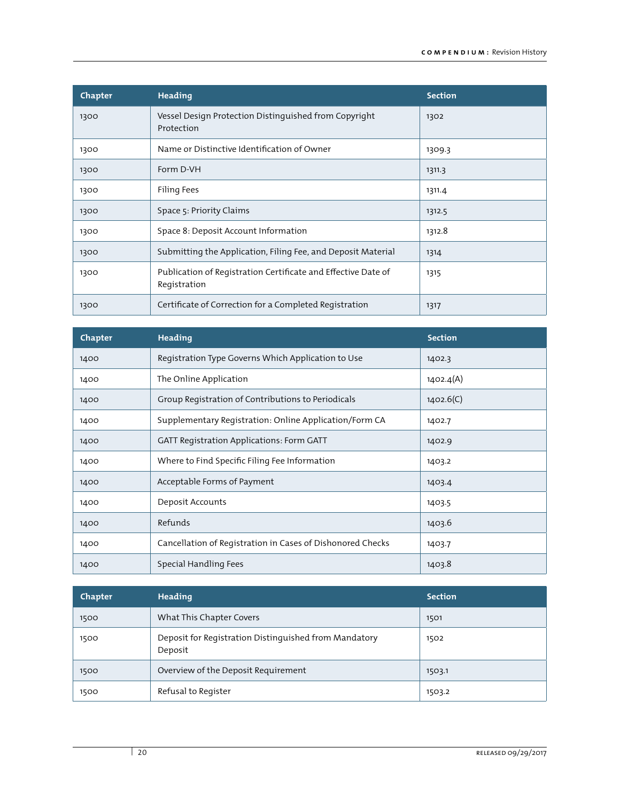| Chapter | <b>Heading</b>                                                                | <b>Section</b> |
|---------|-------------------------------------------------------------------------------|----------------|
| 1300    | Vessel Design Protection Distinguished from Copyright<br>Protection           | 1302           |
| 1300    | Name or Distinctive Identification of Owner                                   | 1309.3         |
| 1300    | Form D-VH                                                                     | 1311.3         |
| 1300    | Filing Fees                                                                   | 1311.4         |
| 1300    | Space 5: Priority Claims                                                      | 1312.5         |
| 1300    | Space 8: Deposit Account Information                                          | 1312.8         |
| 1300    | Submitting the Application, Filing Fee, and Deposit Material                  | 1314           |
| 1300    | Publication of Registration Certificate and Effective Date of<br>Registration | 1315           |
| 1300    | Certificate of Correction for a Completed Registration                        | 1317           |

| Chapter | <b>Heading</b>                                             | <b>Section</b> |
|---------|------------------------------------------------------------|----------------|
| 1400    | Registration Type Governs Which Application to Use         | 1402.3         |
| 1400    | The Online Application                                     | 1402.4(A)      |
| 1400    | Group Registration of Contributions to Periodicals         | 1402.6(C)      |
| 1400    | Supplementary Registration: Online Application/Form CA     | 1402.7         |
| 1400    | <b>GATT Registration Applications: Form GATT</b>           | 1402.9         |
| 1400    | Where to Find Specific Filing Fee Information              | 1403.2         |
| 1400    | Acceptable Forms of Payment                                | 1403.4         |
| 1400    | Deposit Accounts                                           | 1403.5         |
| 1400    | Refunds                                                    | 1403.6         |
| 1400    | Cancellation of Registration in Cases of Dishonored Checks | 1403.7         |
| 1400    | Special Handling Fees                                      | 1403.8         |

| Chapter | Heading                                                          | <b>Section</b> |
|---------|------------------------------------------------------------------|----------------|
| 1500    | What This Chapter Covers                                         | 1501           |
| 1500    | Deposit for Registration Distinguished from Mandatory<br>Deposit | 1502           |
| 1500    | Overview of the Deposit Requirement                              | 1503.1         |
| 1500    | Refusal to Register                                              | 1503.2         |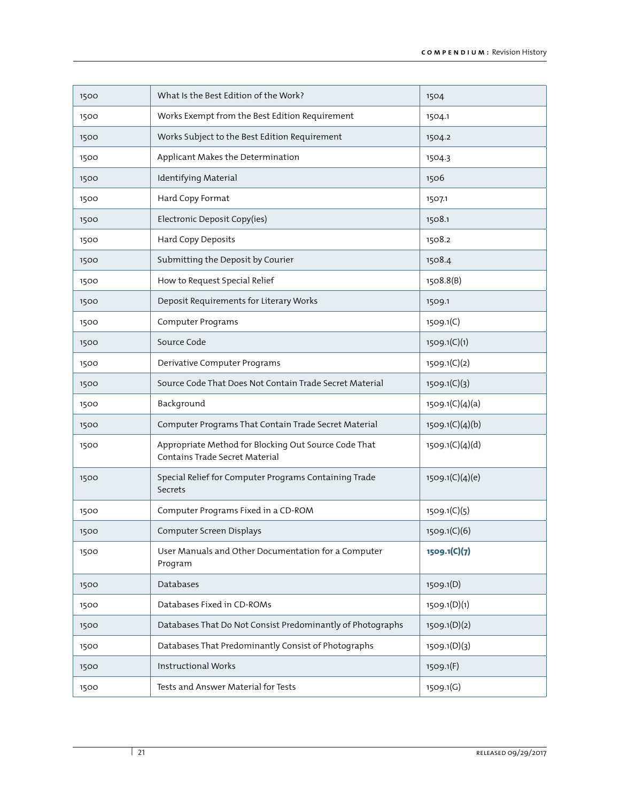| 1500 | What Is the Best Edition of the Work?                                                  | 1504            |
|------|----------------------------------------------------------------------------------------|-----------------|
| 1500 | Works Exempt from the Best Edition Requirement                                         | 1504.1          |
| 1500 | Works Subject to the Best Edition Requirement                                          | 1504.2          |
| 1500 | Applicant Makes the Determination                                                      | 1504.3          |
| 1500 | Identifying Material                                                                   | 1506            |
| 1500 | Hard Copy Format                                                                       | 1507.1          |
| 1500 | Electronic Deposit Copy(ies)                                                           | 1508.1          |
| 1500 | Hard Copy Deposits                                                                     | 1508.2          |
| 1500 | Submitting the Deposit by Courier                                                      | 1508.4          |
| 1500 | How to Request Special Relief                                                          | 1508.8(B)       |
| 1500 | Deposit Requirements for Literary Works                                                | 1509.1          |
| 1500 | Computer Programs                                                                      | 1509.1(C)       |
| 1500 | Source Code                                                                            | 1509.1(C)(1)    |
| 1500 | Derivative Computer Programs                                                           | 1509.1(C)(2)    |
| 1500 | Source Code That Does Not Contain Trade Secret Material                                | 1509.1(C)(3)    |
| 1500 | Background                                                                             | 1509.1(C)(4)(a) |
| 1500 | Computer Programs That Contain Trade Secret Material                                   | 1509.1(C)(4)(b) |
| 1500 | Appropriate Method for Blocking Out Source Code That<br>Contains Trade Secret Material | 1509.1(C)(4)(d) |
| 1500 | Special Relief for Computer Programs Containing Trade<br>Secrets                       | 1509.1(C)(4)(e) |
| 1500 | Computer Programs Fixed in a CD-ROM                                                    | 1509.1(C)(5)    |
| 1500 | Computer Screen Displays                                                               | 1509.1(C)(6)    |
| 1500 | User Manuals and Other Documentation for a Computer<br>Program                         | 1509.1(C)(7)    |
| 1500 | Databases                                                                              | 1509.1(D)       |
| 1500 | Databases Fixed in CD-ROMs                                                             | 1509.1(D)(1)    |
| 1500 | Databases That Do Not Consist Predominantly of Photographs                             | 1509.1(D)(2)    |
| 1500 | Databases That Predominantly Consist of Photographs                                    | 1509.1(D)(3)    |
| 1500 | <b>Instructional Works</b>                                                             | 1509.1(F)       |
| 1500 | Tests and Answer Material for Tests                                                    | 1509.1(G)       |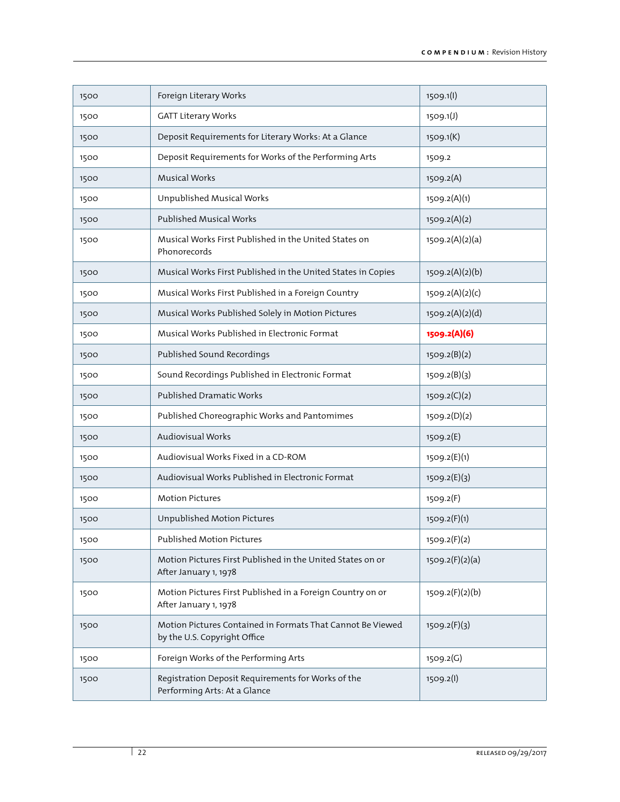| 1500 | Foreign Literary Works                                                                     | 1509.1(l)       |
|------|--------------------------------------------------------------------------------------------|-----------------|
| 1500 | <b>GATT Literary Works</b>                                                                 | 1509.1(J)       |
| 1500 | Deposit Requirements for Literary Works: At a Glance                                       | 1509.1(K)       |
| 1500 | Deposit Requirements for Works of the Performing Arts                                      | 1509.2          |
| 1500 | <b>Musical Works</b>                                                                       | 1509.2(A)       |
| 1500 | Unpublished Musical Works                                                                  | 1509.2(A)(1)    |
| 1500 | <b>Published Musical Works</b>                                                             | 1509.2(A)(2)    |
| 1500 | Musical Works First Published in the United States on<br>Phonorecords                      | 1509.2(A)(2)(a) |
| 1500 | Musical Works First Published in the United States in Copies                               | 1509.2(A)(2)(b) |
| 1500 | Musical Works First Published in a Foreign Country                                         | 1509.2(A)(2)(c) |
| 1500 | Musical Works Published Solely in Motion Pictures                                          | 1509.2(A)(2)(d) |
| 1500 | Musical Works Published in Electronic Format                                               | 1509.2(A)(6)    |
| 1500 | Published Sound Recordings                                                                 | 1509.2(B)(2)    |
| 1500 | Sound Recordings Published in Electronic Format                                            | 1509.2(B)(3)    |
| 1500 | Published Dramatic Works                                                                   | 1509.2(C)(2)    |
| 1500 | Published Choreographic Works and Pantomimes                                               | 1509.2(D)(2)    |
| 1500 | Audiovisual Works                                                                          | 1509.2(E)       |
| 1500 | Audiovisual Works Fixed in a CD-ROM                                                        | 1509.2(E)(1)    |
| 1500 | Audiovisual Works Published in Electronic Format                                           | 1509.2(E)(3)    |
| 1500 | <b>Motion Pictures</b>                                                                     | 1509.2(F)       |
| 1500 | Unpublished Motion Pictures                                                                | 1509.2(F)(1)    |
| 1500 | Published Motion Pictures                                                                  | 1509.2(F)(2)    |
| 1500 | Motion Pictures First Published in the United States on or<br>After January 1, 1978        | 1509.2(F)(2)(a) |
| 1500 | Motion Pictures First Published in a Foreign Country on or<br>After January 1, 1978        | 1509.2(F)(2)(b) |
| 1500 | Motion Pictures Contained in Formats That Cannot Be Viewed<br>by the U.S. Copyright Office | 1509.2(F)(3)    |
| 1500 | Foreign Works of the Performing Arts                                                       | 1509.2(G)       |
| 1500 | Registration Deposit Requirements for Works of the<br>Performing Arts: At a Glance         | 1509.2(l)       |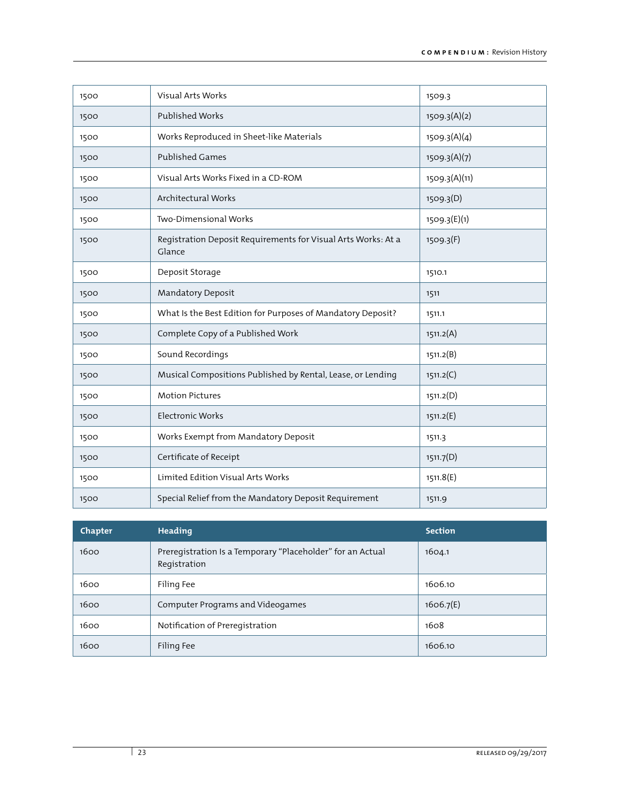| 1500 | Visual Arts Works                                                       | 1509.3        |
|------|-------------------------------------------------------------------------|---------------|
| 1500 | Published Works                                                         | 1509.3(A)(2)  |
| 1500 | Works Reproduced in Sheet-like Materials                                | 1509.3(A)(4)  |
| 1500 | <b>Published Games</b>                                                  | 1509.3(A)(7)  |
| 1500 | Visual Arts Works Fixed in a CD-ROM                                     | 1509.3(A)(11) |
| 1500 | Architectural Works                                                     | 1509.3(D)     |
| 1500 | Two-Dimensional Works                                                   | 1509.3(E)(1)  |
| 1500 | Registration Deposit Requirements for Visual Arts Works: At a<br>Glance | 1509.3(F)     |
| 1500 | Deposit Storage                                                         | 1510.1        |
| 1500 | Mandatory Deposit                                                       | 1511          |
| 1500 | What Is the Best Edition for Purposes of Mandatory Deposit?             | 1511.1        |
| 1500 | Complete Copy of a Published Work                                       | 1511.2(A)     |
| 1500 | Sound Recordings                                                        | 1511.2(B)     |
| 1500 | Musical Compositions Published by Rental, Lease, or Lending             | 1511.2(C)     |
| 1500 | <b>Motion Pictures</b>                                                  | 1511.2(D)     |
| 1500 | <b>Electronic Works</b>                                                 | 1511.2(E)     |
| 1500 | Works Exempt from Mandatory Deposit                                     | 1511.3        |
| 1500 | Certificate of Receipt                                                  | 1511.7(D)     |
| 1500 | Limited Edition Visual Arts Works                                       | 1511.8(E)     |
| 1500 | Special Relief from the Mandatory Deposit Requirement                   | 1511.9        |

| Chapter | Heading                                                                    | <b>Section</b> |
|---------|----------------------------------------------------------------------------|----------------|
| 1600    | Preregistration Is a Temporary "Placeholder" for an Actual<br>Registration | 1604.1         |
| 1600    | Filing Fee                                                                 | 1606.10        |
| 1600    | Computer Programs and Videogames                                           | 1606.7(E)      |
| 1600    | Notification of Preregistration                                            | 1608           |
| 1600    | Filing Fee                                                                 | 1606.10        |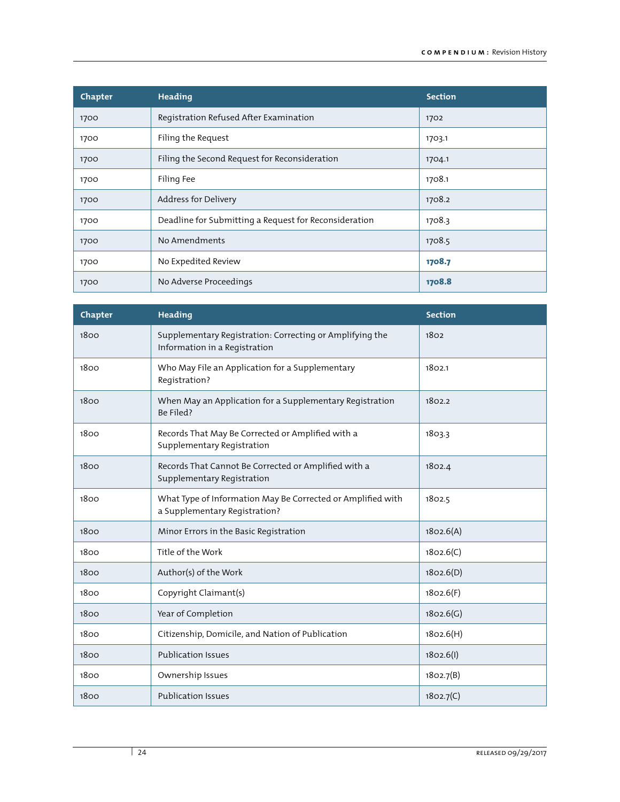| Chapter | Heading                                               | <b>Section</b> |
|---------|-------------------------------------------------------|----------------|
| 1700    | Registration Refused After Examination                | 1702           |
| 1700    | Filing the Request                                    | 1703.1         |
| 1700    | Filing the Second Request for Reconsideration         | 1704.1         |
| 1700    | Filing Fee                                            | 1708.1         |
| 1700    | Address for Delivery                                  | 1708.2         |
| 1700    | Deadline for Submitting a Request for Reconsideration | 1708.3         |
| 1700    | No Amendments                                         | 1708.5         |
| 1700    | No Expedited Review                                   | 1708.7         |
| 1700    | No Adverse Proceedings                                | 1708.8         |

| Chapter | Heading                                                                                      | <b>Section</b> |
|---------|----------------------------------------------------------------------------------------------|----------------|
| 1800    | Supplementary Registration: Correcting or Amplifying the<br>Information in a Registration    | 1802           |
| 1800    | Who May File an Application for a Supplementary<br>Registration?                             | 1802.1         |
| 1800    | When May an Application for a Supplementary Registration<br>Be Filed?                        | 1802.2         |
| 1800    | Records That May Be Corrected or Amplified with a<br>Supplementary Registration              | 1803.3         |
| 1800    | Records That Cannot Be Corrected or Amplified with a<br>Supplementary Registration           | 1802.4         |
| 1800    | What Type of Information May Be Corrected or Amplified with<br>a Supplementary Registration? | 1802.5         |
| 1800    | Minor Errors in the Basic Registration                                                       | 1802.6(A)      |
| 1800    | Title of the Work                                                                            | 1802.6(C)      |
| 1800    | Author(s) of the Work                                                                        | 1802.6(D)      |
| 1800    | Copyright Claimant(s)                                                                        | 1802.6(F)      |
| 1800    | Year of Completion                                                                           | 1802.6(G)      |
| 1800    | Citizenship, Domicile, and Nation of Publication                                             | 1802.6(H)      |
| 1800    | <b>Publication Issues</b>                                                                    | 1802.6(l)      |
| 1800    | Ownership Issues                                                                             | 1802.7(B)      |
| 1800    | <b>Publication Issues</b>                                                                    | 1802.7(C)      |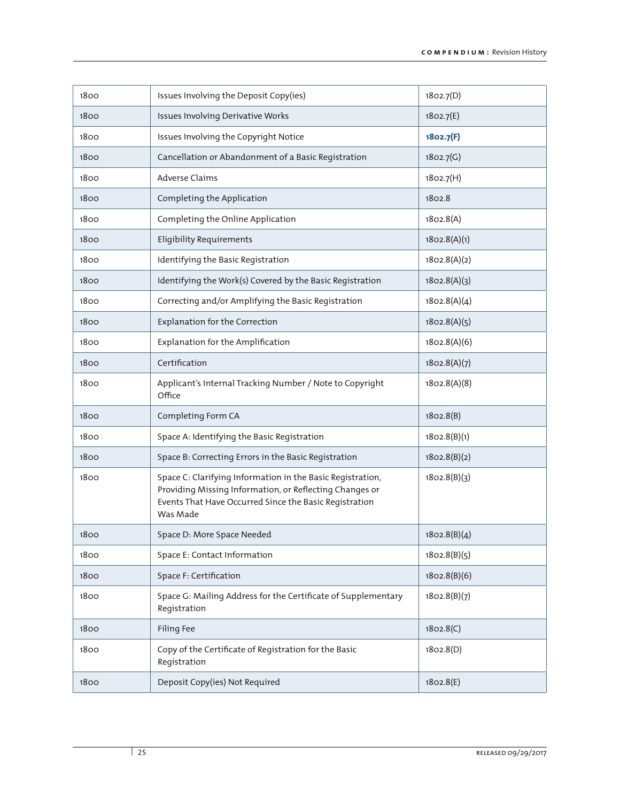| 1800 | Issues Involving the Deposit Copy(ies)                                                                                                                                                      | 1802.7(D)    |
|------|---------------------------------------------------------------------------------------------------------------------------------------------------------------------------------------------|--------------|
| 1800 | Issues Involving Derivative Works                                                                                                                                                           | 1802.7(E)    |
| 1800 | Issues Involving the Copyright Notice                                                                                                                                                       | 1802.7(F)    |
| 1800 | Cancellation or Abandonment of a Basic Registration                                                                                                                                         | 1802.7(G)    |
| 1800 | Adverse Claims                                                                                                                                                                              | 1802.7(H)    |
| 1800 | Completing the Application                                                                                                                                                                  | 1802.8       |
| 1800 | Completing the Online Application                                                                                                                                                           | 1802.8(A)    |
| 1800 | <b>Eligibility Requirements</b>                                                                                                                                                             | 1802.8(A)(1) |
| 1800 | Identifying the Basic Registration                                                                                                                                                          | 1802.8(A)(2) |
| 1800 | Identifying the Work(s) Covered by the Basic Registration                                                                                                                                   | 1802.8(A)(3) |
| 1800 | Correcting and/or Amplifying the Basic Registration                                                                                                                                         | 1802.8(A)(4) |
| 1800 | Explanation for the Correction                                                                                                                                                              | 1802.8(A)(5) |
| 1800 | Explanation for the Amplification                                                                                                                                                           | 1802.8(A)(6) |
| 1800 | Certification                                                                                                                                                                               | 1802.8(A)(7) |
| 1800 | Applicant's Internal Tracking Number / Note to Copyright<br>Office                                                                                                                          | 1802.8(A)(8) |
| 1800 | Completing Form CA                                                                                                                                                                          | 1802.8(B)    |
| 1800 | Space A: Identifying the Basic Registration                                                                                                                                                 | 1802.8(B)(1) |
| 1800 | Space B: Correcting Errors in the Basic Registration                                                                                                                                        | 1802.8(B)(2) |
| 1800 | Space C: Clarifying Information in the Basic Registration,<br>Providing Missing Information, or Reflecting Changes or<br>Events That Have Occurred Since the Basic Registration<br>Was Made | 1802.8(B)(3) |
| 1800 | Space D: More Space Needed                                                                                                                                                                  | 1802.8(B)(4) |
| 1800 | Space E: Contact Information                                                                                                                                                                | 1802.8(B)(5) |
| 1800 | Space F: Certification                                                                                                                                                                      | 1802.8(B)(6) |
| 1800 | Space G: Mailing Address for the Certificate of Supplementary<br>Registration                                                                                                               | 1802.8(B)(7) |
| 1800 | Filing Fee                                                                                                                                                                                  | 1802.8(C)    |
| 1800 | Copy of the Certificate of Registration for the Basic<br>Registration                                                                                                                       | 1802.8(D)    |
| 1800 | Deposit Copy(ies) Not Required                                                                                                                                                              | 1802.8(E)    |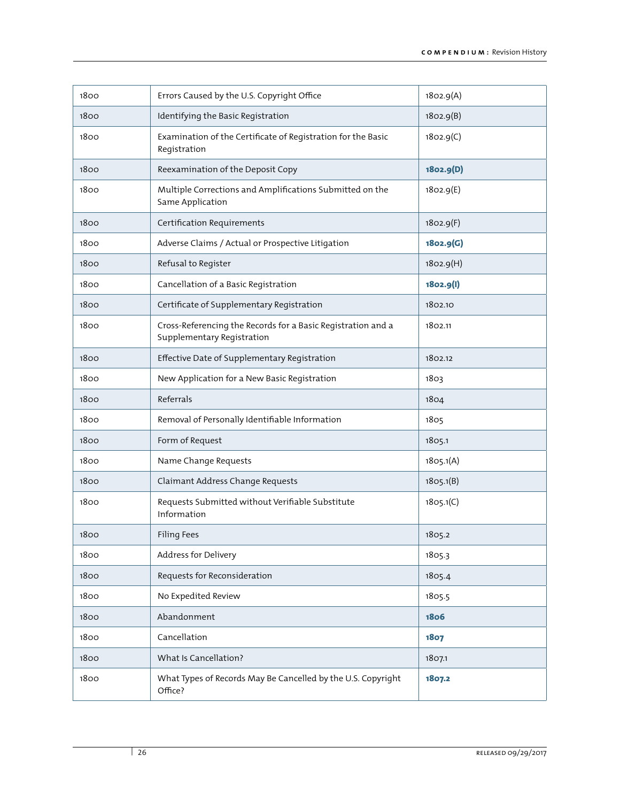| 1800 | Errors Caused by the U.S. Copyright Office                                                 | 1802.9(A)   |
|------|--------------------------------------------------------------------------------------------|-------------|
| 1800 | Identifying the Basic Registration                                                         | 1802.9(B)   |
| 1800 | Examination of the Certificate of Registration for the Basic<br>Registration               | 1802.9(C)   |
| 1800 | Reexamination of the Deposit Copy                                                          | 1802.9(D)   |
| 1800 | Multiple Corrections and Amplifications Submitted on the<br>Same Application               | 1802.9(E)   |
| 1800 | Certification Requirements                                                                 | 1802.9(F)   |
| 1800 | Adverse Claims / Actual or Prospective Litigation                                          | 1802.9(G)   |
| 1800 | Refusal to Register                                                                        | 1802.9(H)   |
| 1800 | Cancellation of a Basic Registration                                                       | 1802.9(1)   |
| 1800 | Certificate of Supplementary Registration                                                  | 1802.10     |
| 1800 | Cross-Referencing the Records for a Basic Registration and a<br>Supplementary Registration | 1802.11     |
| 1800 | Effective Date of Supplementary Registration                                               | 1802.12     |
| 1800 | New Application for a New Basic Registration                                               | 1803        |
| 1800 | Referrals                                                                                  | 1804        |
| 1800 | Removal of Personally Identifiable Information                                             | 1805        |
| 1800 | Form of Request                                                                            | 1805.1      |
| 1800 | Name Change Requests                                                                       | 1805.1(A)   |
| 1800 | Claimant Address Change Requests                                                           | 1805.1(B)   |
| 1800 | Requests Submitted without Verifiable Substitute<br>Information                            | 1805.1(C)   |
| 1800 | <b>Filing Fees</b>                                                                         | 1805.2      |
| 1800 | Address for Delivery                                                                       | 1805.3      |
| 1800 | Requests for Reconsideration                                                               | 1805.4      |
| 1800 | No Expedited Review                                                                        | 1805.5      |
| 1800 | Abandonment                                                                                | <b>1806</b> |
| 1800 | Cancellation                                                                               | 1807        |
| 1800 | What Is Cancellation?                                                                      | 1807.1      |
| 1800 | What Types of Records May Be Cancelled by the U.S. Copyright<br>Office?                    | 1807.2      |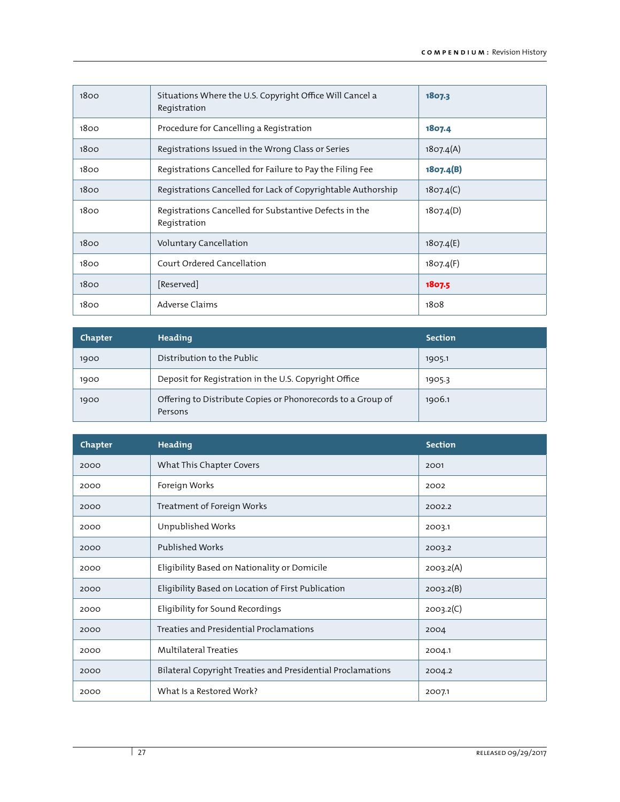| 1800 | Situations Where the U.S. Copyright Office Will Cancel a<br>Registration | 1807.3    |
|------|--------------------------------------------------------------------------|-----------|
| 1800 | Procedure for Cancelling a Registration                                  | 1807.4    |
| 1800 | Registrations Issued in the Wrong Class or Series                        | 1807.4(A) |
| 1800 | Registrations Cancelled for Failure to Pay the Filing Fee                | 1807.4(B) |
| 1800 | Registrations Cancelled for Lack of Copyrightable Authorship             | 1807.4(C) |
| 1800 | Registrations Cancelled for Substantive Defects in the<br>Registration   | 1807.4(D) |
| 1800 | <b>Voluntary Cancellation</b>                                            | 1807.4(E) |
| 1800 | Court Ordered Cancellation                                               | 1807.4(F) |
| 1800 | [Reserved]                                                               | 1807.5    |
| 1800 | Adverse Claims                                                           | 1808      |

| Chapter | Heading                                                                | <b>Section</b> |
|---------|------------------------------------------------------------------------|----------------|
| 1900    | Distribution to the Public                                             | 1905.1         |
| 1900    | Deposit for Registration in the U.S. Copyright Office                  | 1905.3         |
| 1900    | Offering to Distribute Copies or Phonorecords to a Group of<br>Persons | 1906.1         |

| Chapter | <b>Heading</b>                                              | <b>Section</b> |
|---------|-------------------------------------------------------------|----------------|
| 2000    | What This Chapter Covers                                    | 2001           |
| 2000    | Foreign Works                                               | 2002           |
| 2000    | Treatment of Foreign Works                                  | 2002.2         |
| 2000    | Unpublished Works                                           | 2003.1         |
| 2000    | <b>Published Works</b>                                      | 2003.2         |
| 2000    | Eligibility Based on Nationality or Domicile                | 2003.2(A)      |
| 2000    | Eligibility Based on Location of First Publication          | 2003.2(B)      |
| 2000    | Eligibility for Sound Recordings                            | 2003.2(C)      |
| 2000    | Treaties and Presidential Proclamations                     | 2004           |
| 2000    | <b>Multilateral Treaties</b>                                | 2004.1         |
| 2000    | Bilateral Copyright Treaties and Presidential Proclamations | 2004.2         |
| 2000    | What Is a Restored Work?                                    | 2007.1         |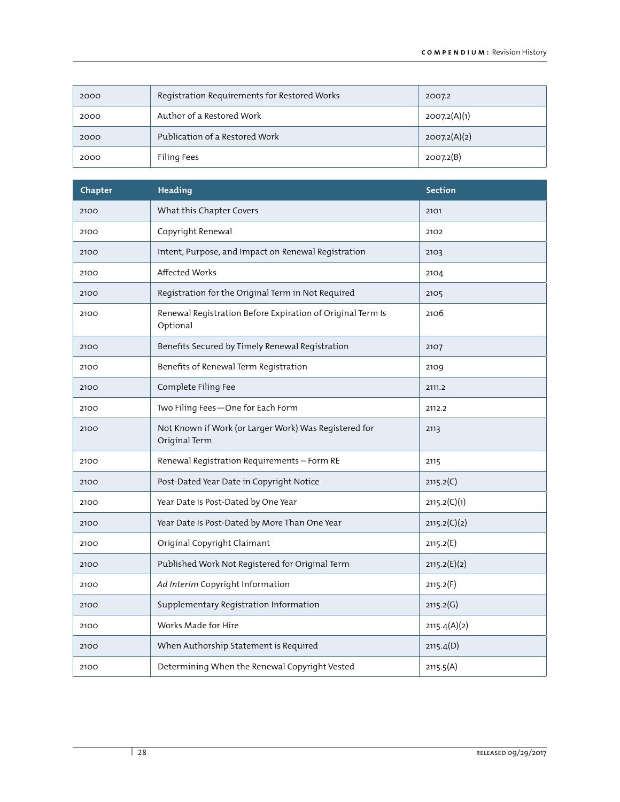| 2000 | Registration Requirements for Restored Works | 2007.2       |
|------|----------------------------------------------|--------------|
| 2000 | Author of a Restored Work                    | 2007.2(A)(1) |
| 2000 | Publication of a Restored Work               | 2007.2(A)(2) |
| 2000 | Filing Fees                                  | 2007.2(B)    |

| Chapter | <b>Heading</b>                                                         | <b>Section</b> |
|---------|------------------------------------------------------------------------|----------------|
| 2100    | What this Chapter Covers                                               | 2101           |
| 2100    | Copyright Renewal                                                      | 2102           |
| 2100    | Intent, Purpose, and Impact on Renewal Registration                    | 2103           |
| 2100    | Affected Works                                                         | 2104           |
| 2100    | Registration for the Original Term in Not Required                     | 2105           |
| 2100    | Renewal Registration Before Expiration of Original Term Is<br>Optional | 2106           |
| 2100    | Benefits Secured by Timely Renewal Registration                        | 2107           |
| 2100    | Benefits of Renewal Term Registration                                  | 2109           |
| 2100    | Complete Filing Fee                                                    | 2111.2         |
| 2100    | Two Filing Fees-One for Each Form                                      | 2112.2         |
| 2100    | Not Known if Work (or Larger Work) Was Registered for<br>Original Term | 2113           |
| 2100    | Renewal Registration Requirements - Form RE                            | 2115           |
| 2100    | Post-Dated Year Date in Copyright Notice                               | 2115.2(C)      |
| 2100    | Year Date Is Post-Dated by One Year                                    | 2115.2(C)(1)   |
| 2100    | Year Date Is Post-Dated by More Than One Year                          | 2115.2(C)(2)   |
| 2100    | Original Copyright Claimant                                            | 2115.2(E)      |
| 2100    | Published Work Not Registered for Original Term                        | 2115.2(E)(2)   |
| 2100    | Ad Interim Copyright Information                                       | 2115.2(F)      |
| 2100    | Supplementary Registration Information                                 | 2115.2(G)      |
| 2100    | Works Made for Hire                                                    | 2115.4(A)(2)   |
| 2100    | When Authorship Statement is Required                                  | 2115.4(D)      |
| 2100    | Determining When the Renewal Copyright Vested                          | 2115.5(A)      |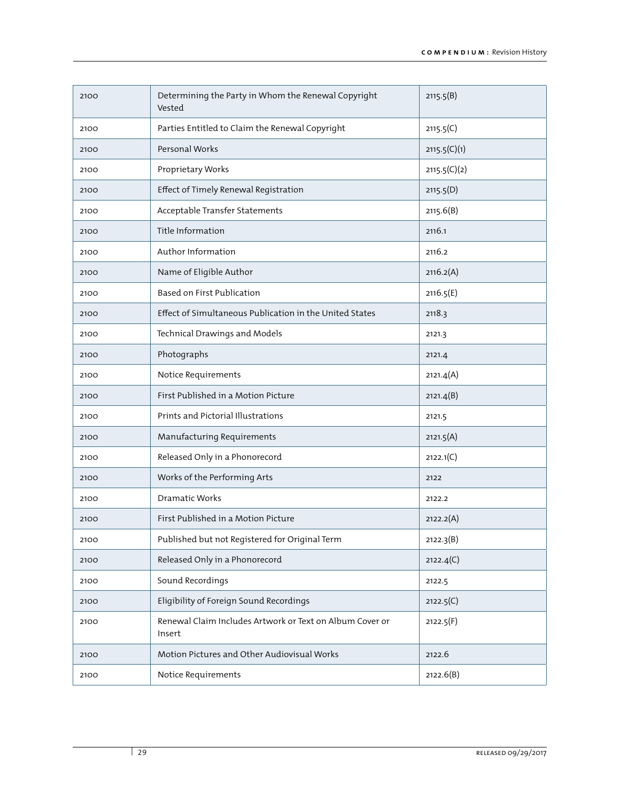| 2100 | Determining the Party in Whom the Renewal Copyright<br>Vested      | 2115.5(B)    |
|------|--------------------------------------------------------------------|--------------|
| 2100 | Parties Entitled to Claim the Renewal Copyright                    | 2115.5(C)    |
| 2100 | Personal Works                                                     | 2115.5(C)(1) |
| 2100 | Proprietary Works                                                  | 2115.5(C)(2) |
| 2100 | Effect of Timely Renewal Registration                              | 2115.5(D)    |
| 2100 | Acceptable Transfer Statements                                     | 2115.6(B)    |
| 2100 | Title Information                                                  | 2116.1       |
| 2100 | Author Information                                                 | 2116.2       |
| 2100 | Name of Eligible Author                                            | 2116.2(A)    |
| 2100 | Based on First Publication                                         | 2116.5(E)    |
| 2100 | Effect of Simultaneous Publication in the United States            | 2118.3       |
| 2100 | Technical Drawings and Models                                      | 2121.3       |
| 2100 | Photographs                                                        | 2121.4       |
| 2100 | Notice Requirements                                                | 2121.4(A)    |
| 2100 | First Published in a Motion Picture                                | 2121.4(B)    |
| 2100 | Prints and Pictorial Illustrations                                 | 2121.5       |
| 2100 | Manufacturing Requirements                                         | 2121.5(A)    |
| 2100 | Released Only in a Phonorecord                                     | 2122.1(C)    |
| 2100 | Works of the Performing Arts                                       | 2122         |
| 2100 | Dramatic Works                                                     | 2122.2       |
| 2100 | First Published in a Motion Picture                                | 2122.2(A)    |
| 2100 | Published but not Registered for Original Term                     | 2122.3(B)    |
| 2100 | Released Only in a Phonorecord                                     | 2122.4(C)    |
| 2100 | Sound Recordings                                                   | 2122.5       |
| 2100 | Eligibility of Foreign Sound Recordings                            | 2122.5(C)    |
| 2100 | Renewal Claim Includes Artwork or Text on Album Cover or<br>Insert | 2122.5(F)    |
| 2100 | Motion Pictures and Other Audiovisual Works                        | 2122.6       |
| 2100 | Notice Requirements                                                | 2122.6(B)    |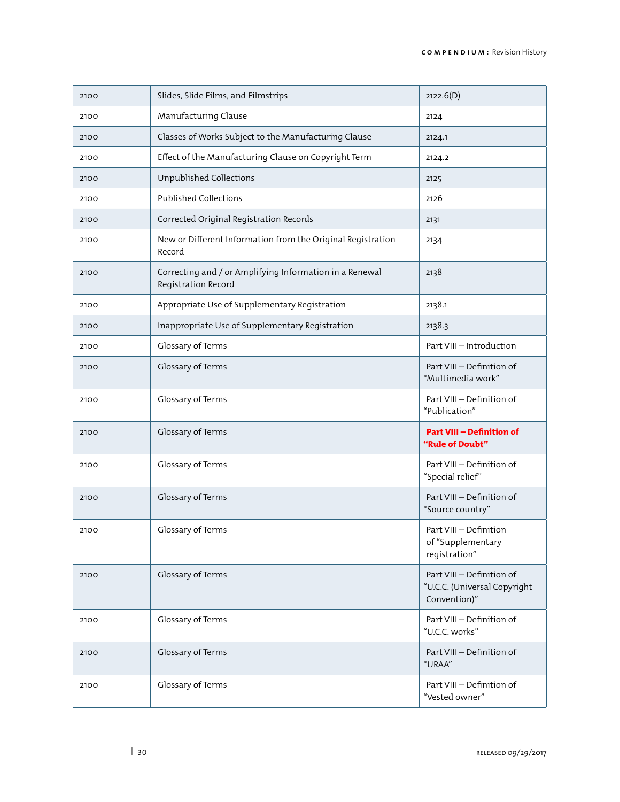| 2100 | Slides, Slide Films, and Filmstrips                                            | 2122.6(D)                                                                 |
|------|--------------------------------------------------------------------------------|---------------------------------------------------------------------------|
| 2100 | Manufacturing Clause                                                           | 2124                                                                      |
| 2100 | Classes of Works Subject to the Manufacturing Clause                           | 2124.1                                                                    |
| 2100 | Effect of the Manufacturing Clause on Copyright Term                           | 2124.2                                                                    |
| 2100 | Unpublished Collections                                                        | 2125                                                                      |
| 2100 | <b>Published Collections</b>                                                   | 2126                                                                      |
| 2100 | Corrected Original Registration Records                                        | 2131                                                                      |
| 2100 | New or Different Information from the Original Registration<br>Record          | 2134                                                                      |
| 2100 | Correcting and / or Amplifying Information in a Renewal<br>Registration Record | 2138                                                                      |
| 2100 | Appropriate Use of Supplementary Registration                                  | 2138.1                                                                    |
| 2100 | Inappropriate Use of Supplementary Registration                                | 2138.3                                                                    |
| 2100 | Glossary of Terms                                                              | Part VIII - Introduction                                                  |
| 2100 | Glossary of Terms                                                              | Part VIII - Definition of<br>"Multimedia work"                            |
| 2100 | Glossary of Terms                                                              | Part VIII - Definition of<br>"Publication"                                |
| 2100 | Glossary of Terms                                                              | <b>Part VIII - Definition of</b><br>"Rule of Doubt"                       |
| 2100 | Glossary of Terms                                                              | Part VIII - Definition of<br>"Special relief"                             |
| 2100 | Glossary of Terms                                                              | Part VIII - Definition of<br>"Source country"                             |
| 2100 | Glossary of Terms                                                              | Part VIII - Definition<br>of "Supplementary<br>registration"              |
| 2100 | Glossary of Terms                                                              | Part VIII - Definition of<br>"U.C.C. (Universal Copyright<br>Convention)" |
| 2100 | Glossary of Terms                                                              | Part VIII - Definition of<br>"U.C.C. works"                               |
| 2100 | Glossary of Terms                                                              | Part VIII - Definition of<br>"URAA"                                       |
| 2100 | Glossary of Terms                                                              | Part VIII - Definition of<br>"Vested owner"                               |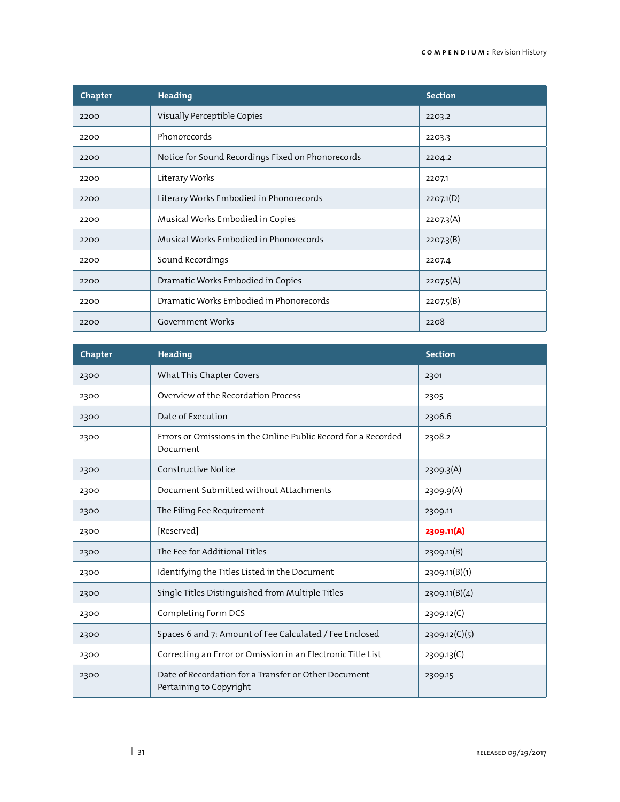| Chapter | <b>Heading</b>                                    | <b>Section</b> |
|---------|---------------------------------------------------|----------------|
| 2200    | Visually Perceptible Copies                       | 2203.2         |
| 2200    | Phonorecords                                      | 2203.3         |
| 2200    | Notice for Sound Recordings Fixed on Phonorecords | 2204.2         |
| 2200    | Literary Works                                    | 2207.1         |
| 2200    | Literary Works Embodied in Phonorecords           | 2207.1(D)      |
| 2200    | Musical Works Embodied in Copies                  | 2207.3(A)      |
| 2200    | Musical Works Embodied in Phonorecords            | 2207.3(B)      |
| 2200    | Sound Recordings                                  | 2207.4         |
| 2200    | Dramatic Works Embodied in Copies                 | 2207.5(A)      |
| 2200    | Dramatic Works Embodied in Phonorecords           | 2207.5(B)      |
| 2200    | <b>Government Works</b>                           | 2208           |

| Chapter | <b>Heading</b>                                                                  | <b>Section</b> |
|---------|---------------------------------------------------------------------------------|----------------|
| 2300    | What This Chapter Covers                                                        | 2301           |
| 2300    | Overview of the Recordation Process                                             | 2305           |
| 2300    | Date of Execution                                                               | 2306.6         |
| 2300    | Errors or Omissions in the Online Public Record for a Recorded<br>Document      | 2308.2         |
| 2300    | <b>Constructive Notice</b>                                                      | 2309.3(A)      |
| 2300    | Document Submitted without Attachments                                          | 2309.9(A)      |
| 2300    | The Filing Fee Requirement                                                      | 2309.11        |
| 2300    | [Reserved]                                                                      | 2309.11(A)     |
| 2300    | The Fee for Additional Titles                                                   | 2309.11(B)     |
| 2300    | Identifying the Titles Listed in the Document                                   | 2309.11(B)(1)  |
| 2300    | Single Titles Distinguished from Multiple Titles                                | 2309.11(B)(4)  |
| 2300    | Completing Form DCS                                                             | 2309.12(C)     |
| 2300    | Spaces 6 and 7: Amount of Fee Calculated / Fee Enclosed                         | 2309.12(C)(5)  |
| 2300    | Correcting an Error or Omission in an Electronic Title List                     | 2309.13(C)     |
| 2300    | Date of Recordation for a Transfer or Other Document<br>Pertaining to Copyright | 2309.15        |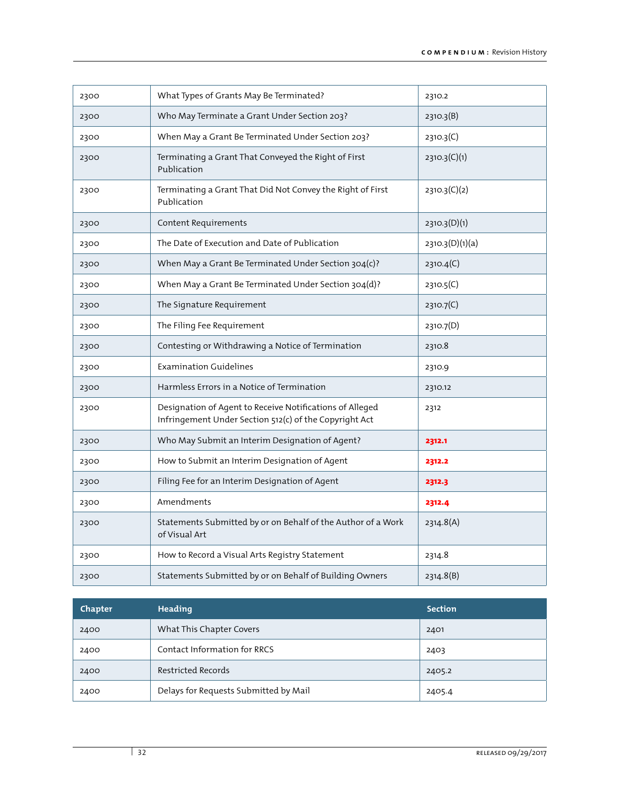| 2300 | What Types of Grants May Be Terminated?                                                                            | 2310.2          |
|------|--------------------------------------------------------------------------------------------------------------------|-----------------|
| 2300 | Who May Terminate a Grant Under Section 203?                                                                       | 2310.3(B)       |
| 2300 | When May a Grant Be Terminated Under Section 203?                                                                  | 2310.3(C)       |
| 2300 | Terminating a Grant That Conveyed the Right of First<br>Publication                                                | 2310.3(C)(1)    |
| 2300 | Terminating a Grant That Did Not Convey the Right of First<br>Publication                                          | 2310.3(C)(2)    |
| 2300 | Content Requirements                                                                                               | 2310.3(D)(1)    |
| 2300 | The Date of Execution and Date of Publication                                                                      | 2310.3(D)(1)(a) |
| 2300 | When May a Grant Be Terminated Under Section 304(c)?                                                               | 2310.4(C)       |
| 2300 | When May a Grant Be Terminated Under Section 304(d)?                                                               | 2310.5(C)       |
| 2300 | The Signature Requirement                                                                                          | 2310.7(C)       |
| 2300 | The Filing Fee Requirement                                                                                         | 2310.7(D)       |
| 2300 | Contesting or Withdrawing a Notice of Termination                                                                  | 2310.8          |
| 2300 | <b>Examination Guidelines</b>                                                                                      | 2310.9          |
| 2300 | Harmless Errors in a Notice of Termination                                                                         | 2310.12         |
| 2300 | Designation of Agent to Receive Notifications of Alleged<br>Infringement Under Section 512(c) of the Copyright Act | 2312            |
| 2300 | Who May Submit an Interim Designation of Agent?                                                                    | 2312.1          |
| 2300 | How to Submit an Interim Designation of Agent                                                                      | 2312.2          |
| 2300 | Filing Fee for an Interim Designation of Agent                                                                     | 2312.3          |
| 2300 | Amendments                                                                                                         | 2312.4          |
| 2300 | Statements Submitted by or on Behalf of the Author of a Work<br>of Visual Art                                      | 2314.8(A)       |
| 2300 | How to Record a Visual Arts Registry Statement                                                                     | 2314.8          |
| 2300 | Statements Submitted by or on Behalf of Building Owners                                                            | 2314.8(B)       |

| Chapter | Heading                               | <b>Section</b> |
|---------|---------------------------------------|----------------|
| 2400    | What This Chapter Covers              | 2401           |
| 2400    | Contact Information for RRCS          | 2403           |
| 2400    | Restricted Records                    | 2405.2         |
| 2400    | Delays for Requests Submitted by Mail | 2405.4         |